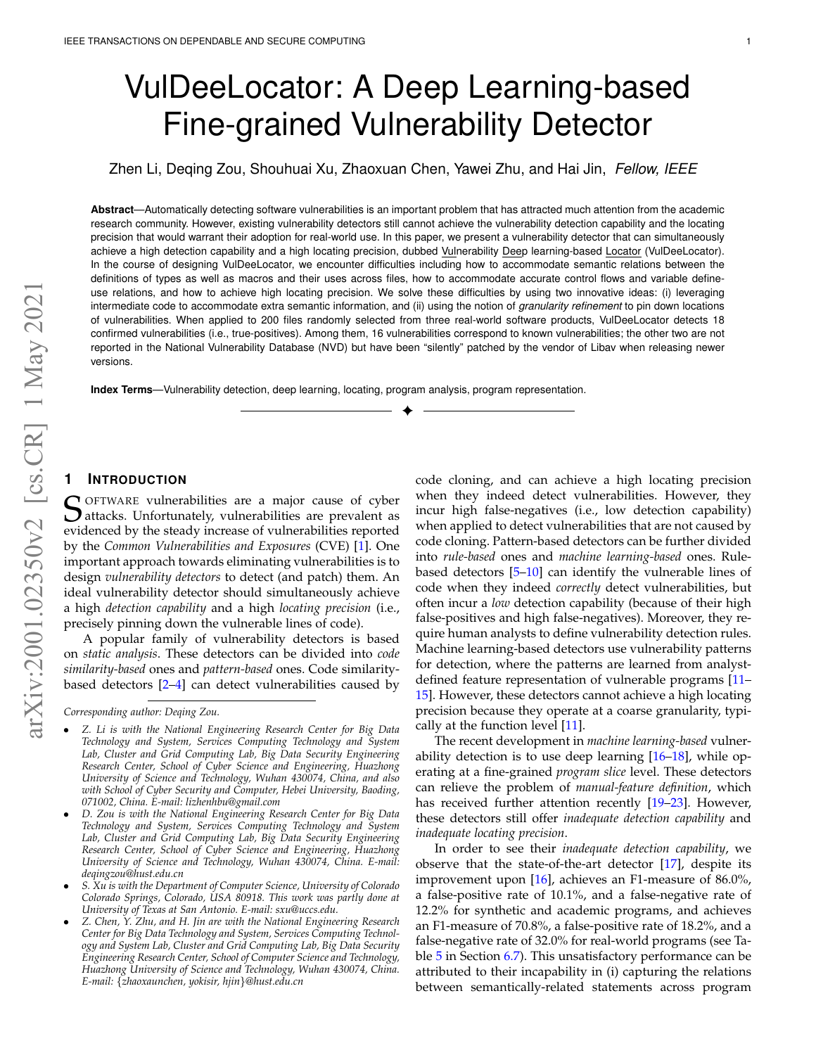# VulDeeLocator: A Deep Learning-based Fine-grained Vulnerability Detector

Zhen Li, Deqing Zou, Shouhuai Xu, Zhaoxuan Chen, Yawei Zhu, and Hai Jin, *Fellow, IEEE*

**Abstract**—Automatically detecting software vulnerabilities is an important problem that has attracted much attention from the academic research community. However, existing vulnerability detectors still cannot achieve the vulnerability detection capability and the locating precision that would warrant their adoption for real-world use. In this paper, we present a vulnerability detector that can simultaneously achieve a high detection capability and a high locating precision, dubbed Vulnerability Deep learning-based Locator (VulDeeLocator). In the course of designing VulDeeLocator, we encounter difficulties including how to accommodate semantic relations between the definitions of types as well as macros and their uses across files, how to accommodate accurate control flows and variable defineuse relations, and how to achieve high locating precision. We solve these difficulties by using two innovative ideas: (i) leveraging intermediate code to accommodate extra semantic information, and (ii) using the notion of *granularity refinement* to pin down locations of vulnerabilities. When applied to 200 files randomly selected from three real-world software products, VulDeeLocator detects 18 confirmed vulnerabilities (i.e., true-positives). Among them, 16 vulnerabilities correspond to known vulnerabilities; the other two are not reported in the National Vulnerability Database (NVD) but have been "silently" patched by the vendor of Libav when releasing newer versions.

✦

**Index Terms**—Vulnerability detection, deep learning, locating, program analysis, program representation.

# **1 INTRODUCTION**

S OFTWARE vulnerabilities are a major cause of cyber<br>Sattacks. Unfortunately, vulnerabilities are prevalent as<br>ovidenced by the stoody increase of vulnerabilities reported  $\bigcup$  attacks. Unfortunately, vulnerabilities are prevalent as evidenced by the steady increase of vulnerabilities reported by the *Common Vulnerabilities and Exposures* (CVE) [\[1\]](#page-14-0). One important approach towards eliminating vulnerabilities is to design *vulnerability detectors* to detect (and patch) them. An ideal vulnerability detector should simultaneously achieve a high *detection capability* and a high *locating precision* (i.e., precisely pinning down the vulnerable lines of code).

A popular family of vulnerability detectors is based on *static analysis*. These detectors can be divided into *code similarity-based* ones and *pattern-based* ones. Code similaritybased detectors [\[2–](#page-14-1)[4\]](#page-14-2) can detect vulnerabilities caused by

*Corresponding author: Deqing Zou.*

- *Z. Li is with the National Engineering Research Center for Big Data Technology and System, Services Computing Technology and System Lab, Cluster and Grid Computing Lab, Big Data Security Engineering Research Center, School of Cyber Science and Engineering, Huazhong University of Science and Technology, Wuhan 430074, China, and also with School of Cyber Security and Computer, Hebei University, Baoding, 071002, China. E-mail: lizhenhbu@gmail.com*
- *D. Zou is with the National Engineering Research Center for Big Data Technology and System, Services Computing Technology and System Lab, Cluster and Grid Computing Lab, Big Data Security Engineering Research Center, School of Cyber Science and Engineering, Huazhong University of Science and Technology, Wuhan 430074, China. E-mail: deqingzou@hust.edu.cn*
- *S. Xu is with the Department of Computer Science, University of Colorado Colorado Springs, Colorado, USA 80918. This work was partly done at University of Texas at San Antonio. E-mail: sxu@uccs.edu.*
- *Z. Chen, Y. Zhu, and H. Jin are with the National Engineering Research Center for Big Data Technology and System, Services Computing Technology and System Lab, Cluster and Grid Computing Lab, Big Data Security Engineering Research Center, School of Computer Science and Technology, Huazhong University of Science and Technology, Wuhan 430074, China. E-mail:* {*zhaoxaunchen, yokisir, hjin*}*@hust.edu.cn*

code cloning, and can achieve a high locating precision when they indeed detect vulnerabilities. However, they incur high false-negatives (i.e., low detection capability) when applied to detect vulnerabilities that are not caused by code cloning. Pattern-based detectors can be further divided into *rule-based* ones and *machine learning-based* ones. Rulebased detectors [\[5](#page-14-3)[–10\]](#page-14-4) can identify the vulnerable lines of code when they indeed *correctly* detect vulnerabilities, but often incur a *low* detection capability (because of their high false-positives and high false-negatives). Moreover, they require human analysts to define vulnerability detection rules. Machine learning-based detectors use vulnerability patterns for detection, where the patterns are learned from analystdefined feature representation of vulnerable programs [\[11–](#page-14-5) [15\]](#page-15-0). However, these detectors cannot achieve a high locating precision because they operate at a coarse granularity, typically at the function level [\[11\]](#page-14-5).

The recent development in *machine learning-based* vulnerability detection is to use deep learning  $[16–18]$  $[16–18]$ , while operating at a fine-grained *program slice* level. These detectors can relieve the problem of *manual-feature definition*, which has received further attention recently [\[19–](#page-15-3)[23\]](#page-15-4). However, these detectors still offer *inadequate detection capability* and *inadequate locating precision*.

In order to see their *inadequate detection capability*, we observe that the state-of-the-art detector [\[17\]](#page-15-5), despite its improvement upon [\[16\]](#page-15-1), achieves an F1-measure of 86.0%, a false-positive rate of 10.1%, and a false-negative rate of 12.2% for synthetic and academic programs, and achieves an F1-measure of 70.8%, a false-positive rate of 18.2%, and a false-negative rate of 32.0% for real-world programs (see Ta-ble [5](#page-12-0) in Section [6.7\)](#page-11-0). This unsatisfactory performance can be attributed to their incapability in (i) capturing the relations between semantically-related statements across program

arXiv:2001.02350v2 [cs.CR] 1 May 2021 arXiv:2001.02350v2 [cs.CR] 1 May 2021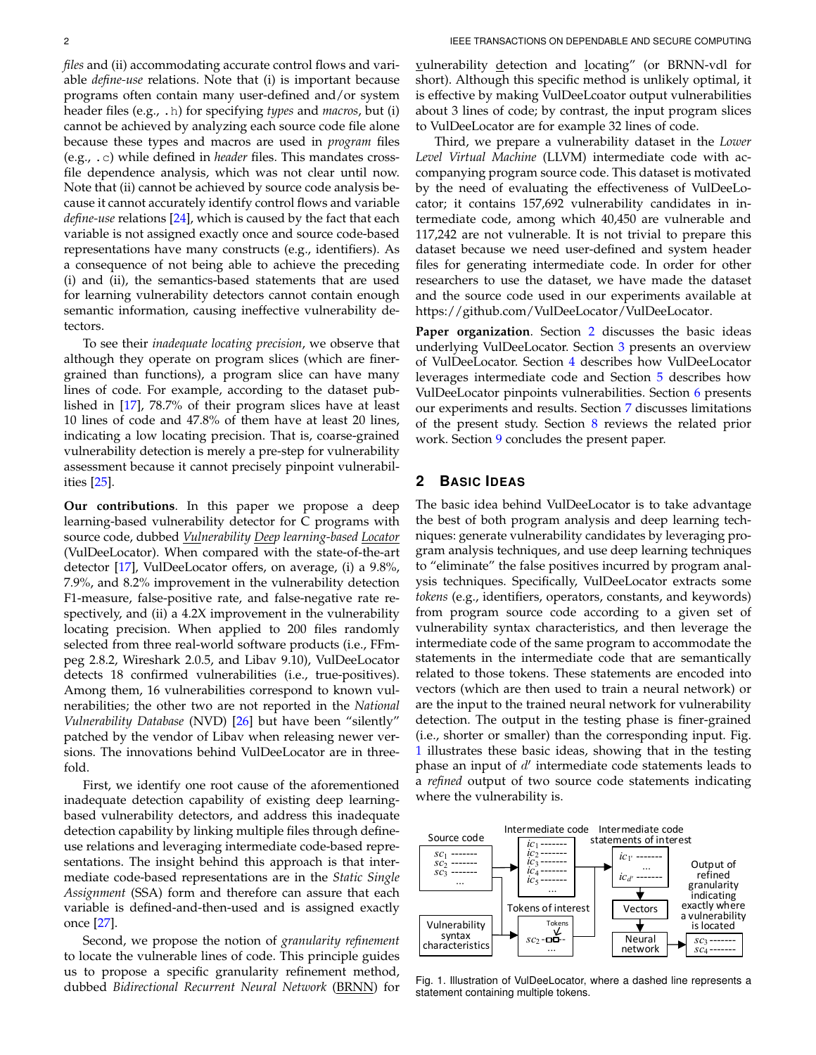*files* and (ii) accommodating accurate control flows and variable *define-use* relations. Note that (i) is important because programs often contain many user-defined and/or system header files (e.g., .h) for specifying *types* and *macros*, but (i) cannot be achieved by analyzing each source code file alone because these types and macros are used in *program* files (e.g., .c) while defined in *header* files. This mandates crossfile dependence analysis, which was not clear until now. Note that (ii) cannot be achieved by source code analysis because it cannot accurately identify control flows and variable *define-use* relations [\[24\]](#page-15-6), which is caused by the fact that each variable is not assigned exactly once and source code-based representations have many constructs (e.g., identifiers). As a consequence of not being able to achieve the preceding (i) and (ii), the semantics-based statements that are used for learning vulnerability detectors cannot contain enough semantic information, causing ineffective vulnerability detectors.

To see their *inadequate locating precision*, we observe that although they operate on program slices (which are finergrained than functions), a program slice can have many lines of code. For example, according to the dataset published in [\[17\]](#page-15-5), 78.7% of their program slices have at least 10 lines of code and 47.8% of them have at least 20 lines, indicating a low locating precision. That is, coarse-grained vulnerability detection is merely a pre-step for vulnerability assessment because it cannot precisely pinpoint vulnerabilities [\[25\]](#page-15-7).

**Our contributions**. In this paper we propose a deep learning-based vulnerability detector for C programs with source code, dubbed *Vulnerability Deep learning-based Locator* (VulDeeLocator). When compared with the state-of-the-art detector [\[17\]](#page-15-5), VulDeeLocator offers, on average, (i) a 9.8%, 7.9%, and 8.2% improvement in the vulnerability detection F1-measure, false-positive rate, and false-negative rate respectively, and (ii) a 4.2X improvement in the vulnerability locating precision. When applied to 200 files randomly selected from three real-world software products (i.e., FFmpeg 2.8.2, Wireshark 2.0.5, and Libav 9.10), VulDeeLocator detects 18 confirmed vulnerabilities (i.e., true-positives). Among them, 16 vulnerabilities correspond to known vulnerabilities; the other two are not reported in the *National Vulnerability Database* (NVD) [\[26\]](#page-15-8) but have been "silently" patched by the vendor of Libav when releasing newer versions. The innovations behind VulDeeLocator are in threefold.

First, we identify one root cause of the aforementioned inadequate detection capability of existing deep learningbased vulnerability detectors, and address this inadequate detection capability by linking multiple files through defineuse relations and leveraging intermediate code-based representations. The insight behind this approach is that intermediate code-based representations are in the *Static Single Assignment* (SSA) form and therefore can assure that each variable is defined-and-then-used and is assigned exactly once [\[27\]](#page-15-9).

Second, we propose the notion of *granularity refinement* to locate the vulnerable lines of code. This principle guides us to propose a specific granularity refinement method, dubbed *Bidirectional Recurrent Neural Network* (BRNN) for

vulnerability detection and locating" (or BRNN-vdl for short). Although this specific method is unlikely optimal, it is effective by making VulDeeLcoator output vulnerabilities about 3 lines of code; by contrast, the input program slices to VulDeeLocator are for example 32 lines of code.

Third, we prepare a vulnerability dataset in the *Lower Level Virtual Machine* (LLVM) intermediate code with accompanying program source code. This dataset is motivated by the need of evaluating the effectiveness of VulDeeLocator; it contains 157,692 vulnerability candidates in intermediate code, among which 40,450 are vulnerable and 117,242 are not vulnerable. It is not trivial to prepare this dataset because we need user-defined and system header files for generating intermediate code. In order for other researchers to use the dataset, we have made the dataset and the source code used in our experiments available at [https://github.com/VulDeeLocator/VulDeeLocator.](https://github.com/VulDeeLocator/VulDeeLocator)

**Paper organization**. Section [2](#page-1-0) discusses the basic ideas underlying VulDeeLocator. Section [3](#page-2-0) presents an overview of VulDeeLocator. Section [4](#page-2-1) describes how VulDeeLocator leverages intermediate code and Section [5](#page-4-0) describes how VulDeeLocator pinpoints vulnerabilities. Section [6](#page-6-0) presents our experiments and results. Section [7](#page-13-0) discusses limitations of the present study. Section [8](#page-13-1) reviews the related prior work. Section [9](#page-14-6) concludes the present paper.

# <span id="page-1-0"></span>**2 BASIC IDEAS**

The basic idea behind VulDeeLocator is to take advantage the best of both program analysis and deep learning techniques: generate vulnerability candidates by leveraging program analysis techniques, and use deep learning techniques to "eliminate" the false positives incurred by program analysis techniques. Specifically, VulDeeLocator extracts some *tokens* (e.g., identifiers, operators, constants, and keywords) from program source code according to a given set of vulnerability syntax characteristics, and then leverage the intermediate code of the same program to accommodate the statements in the intermediate code that are semantically related to those tokens. These statements are encoded into vectors (which are then used to train a neural network) or are the input to the trained neural network for vulnerability detection. The output in the testing phase is finer-grained (i.e., shorter or smaller) than the corresponding input. Fig. [1](#page-1-1) illustrates these basic ideas, showing that in the testing phase an input of  $d'$  intermediate code statements leads to a *refined* output of two source code statements indicating where the vulnerability is.



<span id="page-1-1"></span>Fig. 1. Illustration of VulDeeLocator, where a dashed line represents a statement containing multiple tokens.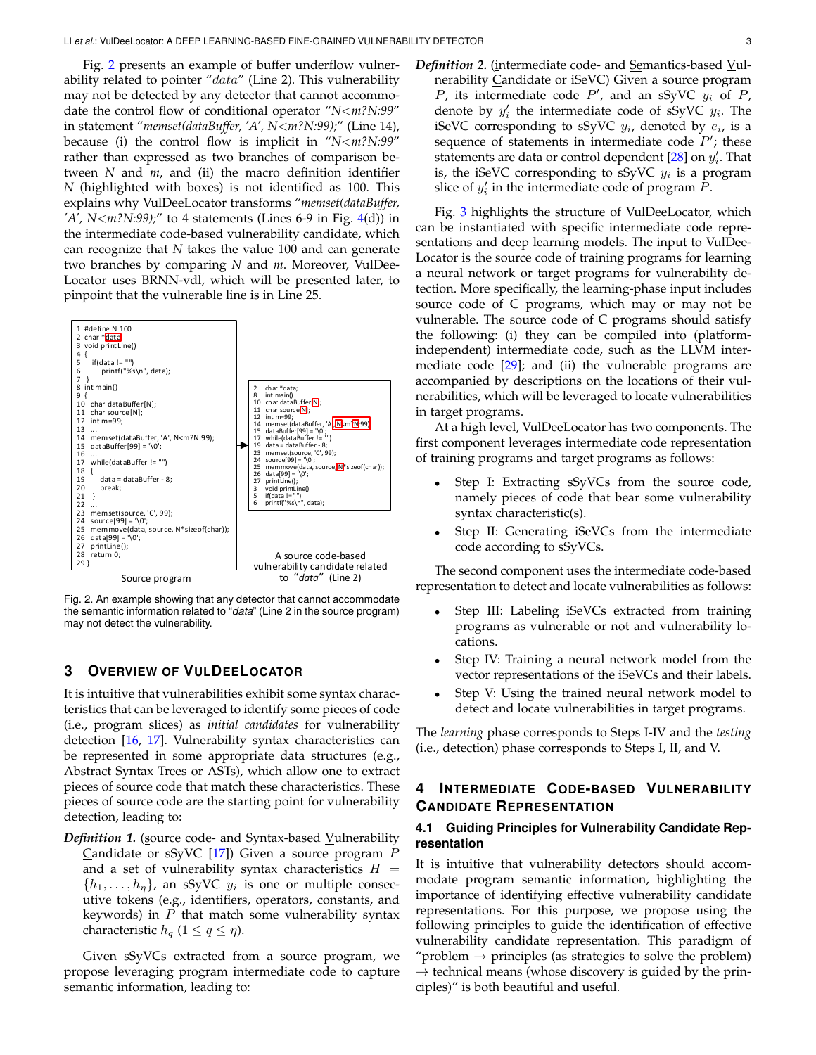Fig. [2](#page-2-2) presents an example of buffer underflow vulnerability related to pointer " $data$ " (Line 2). This vulnerability may not be detected by any detector that cannot accommodate the control flow of conditional operator "*N*<*m?N:99*" in statement "*memset(dataBuffer, 'A', N*<*m?N:99);*" (Line 14), because (i) the control flow is implicit in "*N*<*m?N:99*" rather than expressed as two branches of comparison between *N* and *m*, and (ii) the macro definition identifier *N* (highlighted with boxes) is not identified as 100. This explains why VulDeeLocator transforms "*memset(dataBuffer, 'A', N*<*m?N:99);*" to 4 statements (Lines 6-9 in Fig. [4\(](#page-4-1)d)) in the intermediate code-based vulnerability candidate, which can recognize that *N* takes the value 100 and can generate two branches by comparing *N* and *m*. Moreover, VulDee-Locator uses BRNN-vdl, which will be presented later, to pinpoint that the vulnerable line is in Line 25.



<span id="page-2-2"></span>Fig. 2. An example showing that any detector that cannot accommodate the semantic information related to "*data*" (Line 2 in the source program) may not detect the vulnerability.

# <span id="page-2-0"></span>**3 OVERVIEW OF VULDEELOCATOR**

It is intuitive that vulnerabilities exhibit some syntax characteristics that can be leveraged to identify some pieces of code (i.e., program slices) as *initial candidates* for vulnerability detection [\[16,](#page-15-1) [17\]](#page-15-5). Vulnerability syntax characteristics can be represented in some appropriate data structures (e.g., Abstract Syntax Trees or ASTs), which allow one to extract pieces of source code that match these characteristics. These pieces of source code are the starting point for vulnerability detection, leading to:

**Definition 1.** (source code- and Syntax-based Vulnerability Candidate or sSyVC [\[17\]](#page-15-5)) Given a source program  $P$ and a set of vulnerability syntax characteristics  $H =$  $\{h_1, \ldots, h_{\eta}\}\$ , an sSyVC  $y_i$  is one or multiple consecutive tokens (e.g., identifiers, operators, constants, and keywords) in  $P$  that match some vulnerability syntax characteristic  $h_q$  ( $1 \leq q \leq \eta$ ).

Given sSyVCs extracted from a source program, we propose leveraging program intermediate code to capture semantic information, leading to:

*Definition 2.* (intermediate code- and Semantics-based Vulnerability Candidate or iSeVC) Given a source program P, its intermediate code  $P'$ , and an sSyVC  $y_i$  of P, denote by  $y'_i$  the intermediate code of sSyVC  $y_i$ . The iSeVC corresponding to sSyVC  $y_i$ , denoted by  $e_i$ , is a sequence of statements in intermediate code  $P'$ ; these statements are data or control dependent [\[28\]](#page-15-10) on  $y'_i$ . That is, the iSeVC corresponding to sSyVC  $y_i$  is a program slice of  $y_i'$  in the intermediate code of program  $\tilde{P}$ .

Fig. [3](#page-3-0) highlights the structure of VulDeeLocator, which can be instantiated with specific intermediate code representations and deep learning models. The input to VulDee-Locator is the source code of training programs for learning a neural network or target programs for vulnerability detection. More specifically, the learning-phase input includes source code of C programs, which may or may not be vulnerable. The source code of C programs should satisfy the following: (i) they can be compiled into (platformindependent) intermediate code, such as the LLVM intermediate code  $[29]$ ; and (ii) the vulnerable programs are accompanied by descriptions on the locations of their vulnerabilities, which will be leveraged to locate vulnerabilities in target programs.

At a high level, VulDeeLocator has two components. The first component leverages intermediate code representation of training programs and target programs as follows:

- Step I: Extracting sSyVCs from the source code, namely pieces of code that bear some vulnerability syntax characteristic(s).
- Step II: Generating iSeVCs from the intermediate code according to sSyVCs.

The second component uses the intermediate code-based representation to detect and locate vulnerabilities as follows:

- Step III: Labeling iSeVCs extracted from training programs as vulnerable or not and vulnerability locations.
- Step IV: Training a neural network model from the vector representations of the iSeVCs and their labels.
- Step V: Using the trained neural network model to detect and locate vulnerabilities in target programs.

The *learning* phase corresponds to Steps I-IV and the *testing* (i.e., detection) phase corresponds to Steps I, II, and V.

# <span id="page-2-1"></span>**4 INTERMEDIATE CODE-BASED VULNERABILITY CANDIDATE REPRESENTATION**

# **4.1 Guiding Principles for Vulnerability Candidate Representation**

It is intuitive that vulnerability detectors should accommodate program semantic information, highlighting the importance of identifying effective vulnerability candidate representations. For this purpose, we propose using the following principles to guide the identification of effective vulnerability candidate representation. This paradigm of "problem  $\rightarrow$  principles (as strategies to solve the problem)  $\rightarrow$  technical means (whose discovery is guided by the principles)" is both beautiful and useful.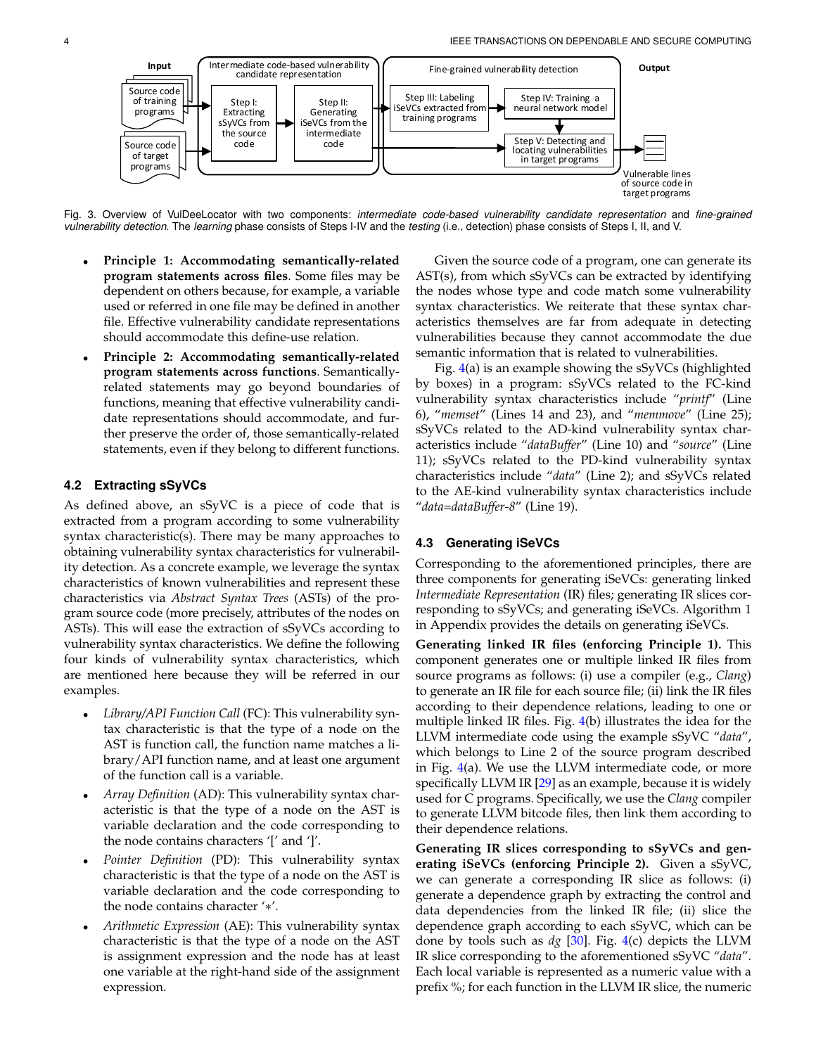

<span id="page-3-0"></span>Fig. 3. Overview of VulDeeLocator with two components: *intermediate code-based vulnerability candidate representation* and *fine-grained vulnerability detection*. The *learning* phase consists of Steps I-IV and the *testing* (i.e., detection) phase consists of Steps I, II, and V.

- **Principle 1: Accommodating semantically-related program statements across files**. Some files may be dependent on others because, for example, a variable used or referred in one file may be defined in another file. Effective vulnerability candidate representations should accommodate this define-use relation.
- **Principle 2: Accommodating semantically-related program statements across functions**. Semanticallyrelated statements may go beyond boundaries of functions, meaning that effective vulnerability candidate representations should accommodate, and further preserve the order of, those semantically-related statements, even if they belong to different functions.

# **4.2 Extracting sSyVCs**

As defined above, an sSyVC is a piece of code that is extracted from a program according to some vulnerability syntax characteristic(s). There may be many approaches to obtaining vulnerability syntax characteristics for vulnerability detection. As a concrete example, we leverage the syntax characteristics of known vulnerabilities and represent these characteristics via *Abstract Syntax Trees* (ASTs) of the program source code (more precisely, attributes of the nodes on ASTs). This will ease the extraction of sSyVCs according to vulnerability syntax characteristics. We define the following four kinds of vulnerability syntax characteristics, which are mentioned here because they will be referred in our examples.

- *Library/API Function Call* (FC): This vulnerability syntax characteristic is that the type of a node on the AST is function call, the function name matches a library/API function name, and at least one argument of the function call is a variable.
- *Array Definition* (AD): This vulnerability syntax characteristic is that the type of a node on the AST is variable declaration and the code corresponding to the node contains characters '[' and ']'.
- *Pointer Definition* (PD): This vulnerability syntax characteristic is that the type of a node on the AST is variable declaration and the code corresponding to the node contains character '∗'.
- *Arithmetic Expression* (AE): This vulnerability syntax characteristic is that the type of a node on the AST is assignment expression and the node has at least one variable at the right-hand side of the assignment expression.

Given the source code of a program, one can generate its AST(s), from which sSyVCs can be extracted by identifying the nodes whose type and code match some vulnerability syntax characteristics. We reiterate that these syntax characteristics themselves are far from adequate in detecting vulnerabilities because they cannot accommodate the due semantic information that is related to vulnerabilities.

Fig. [4\(](#page-4-1)a) is an example showing the sSyVCs (highlighted by boxes) in a program: sSyVCs related to the FC-kind vulnerability syntax characteristics include "*printf*" (Line 6), "*memset*" (Lines 14 and 23), and "*memmove*" (Line 25); sSyVCs related to the AD-kind vulnerability syntax characteristics include "*dataBuffer*" (Line 10) and "*source*" (Line 11); sSyVCs related to the PD-kind vulnerability syntax characteristics include "*data*" (Line 2); and sSyVCs related to the AE-kind vulnerability syntax characteristics include "*data=dataBuffer-8*" (Line 19).

# **4.3 Generating iSeVCs**

Corresponding to the aforementioned principles, there are three components for generating iSeVCs: generating linked *Intermediate Representation* (IR) files; generating IR slices corresponding to sSyVCs; and generating iSeVCs. Algorithm 1 in Appendix provides the details on generating iSeVCs.

**Generating linked IR files (enforcing Principle 1).** This component generates one or multiple linked IR files from source programs as follows: (i) use a compiler (e.g., *Clang*) to generate an IR file for each source file; (ii) link the IR files according to their dependence relations, leading to one or multiple linked IR files. Fig. [4\(](#page-4-1)b) illustrates the idea for the LLVM intermediate code using the example sSyVC "*data*", which belongs to Line 2 of the source program described in Fig.  $4(a)$  $4(a)$ . We use the LLVM intermediate code, or more specifically LLVM IR [\[29\]](#page-15-11) as an example, because it is widely used for C programs. Specifically, we use the *Clang* compiler to generate LLVM bitcode files, then link them according to their dependence relations.

**Generating IR slices corresponding to sSyVCs and generating iSeVCs (enforcing Principle 2).** Given a sSyVC, we can generate a corresponding IR slice as follows: (i) generate a dependence graph by extracting the control and data dependencies from the linked IR file; (ii) slice the dependence graph according to each sSyVC, which can be done by tools such as *dg* [\[30\]](#page-15-12). Fig. [4\(](#page-4-1)c) depicts the LLVM IR slice corresponding to the aforementioned sSyVC "*data*". Each local variable is represented as a numeric value with a prefix %; for each function in the LLVM IR slice, the numeric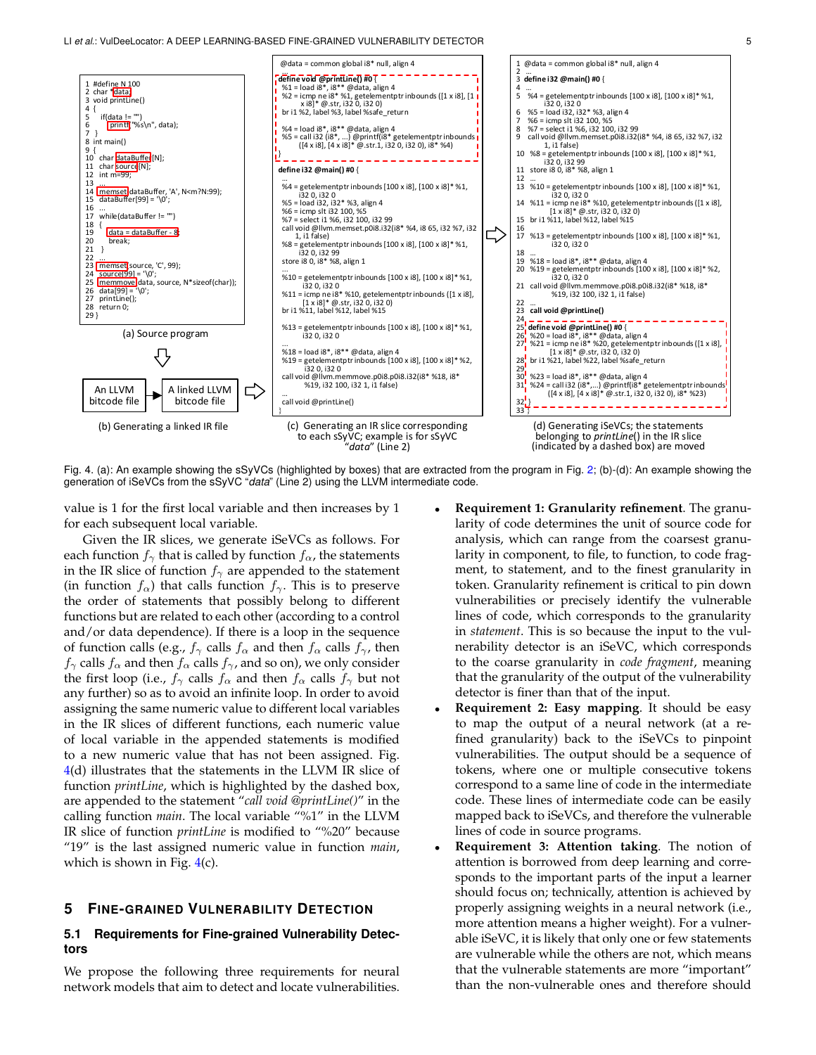

<span id="page-4-1"></span>Fig. 4. (a): An example showing the sSyVCs (highlighted by boxes) that are extracted from the program in Fig. [2;](#page-2-2) (b)-(d): An example showing the generation of iSeVCs from the sSyVC "*data*" (Line 2) using the LLVM intermediate code.

value is 1 for the first local variable and then increases by 1 for each subsequent local variable.

Given the IR slices, we generate iSeVCs as follows. For each function  $f_{\gamma}$  that is called by function  $f_{\alpha}$ , the statements in the IR slice of function  $f_{\gamma}$  are appended to the statement (in function  $f_{\alpha}$ ) that calls function  $f_{\gamma}$ . This is to preserve the order of statements that possibly belong to different functions but are related to each other (according to a control and/or data dependence). If there is a loop in the sequence of function calls (e.g.,  $f_{\gamma}$  calls  $f_{\alpha}$  and then  $f_{\alpha}$  calls  $f_{\gamma}$ , then  $f_{\gamma}$  calls  $f_{\alpha}$  and then  $f_{\alpha}$  calls  $f_{\gamma}$ , and so on), we only consider the first loop (i.e.,  $f_{\gamma}$  calls  $f_{\alpha}$  and then  $f_{\alpha}$  calls  $f_{\gamma}$  but not any further) so as to avoid an infinite loop. In order to avoid assigning the same numeric value to different local variables in the IR slices of different functions, each numeric value of local variable in the appended statements is modified to a new numeric value that has not been assigned. Fig. [4\(](#page-4-1)d) illustrates that the statements in the LLVM IR slice of function *printLine*, which is highlighted by the dashed box, are appended to the statement "*call void @printLine()*" in the calling function *main*. The local variable "%1" in the LLVM IR slice of function *printLine* is modified to "%20" because "19" is the last assigned numeric value in function *main*, which is shown in Fig.  $4(c)$  $4(c)$ .

## <span id="page-4-0"></span>**5 FINE-GRAINED VULNERABILITY DETECTION**

# **5.1 Requirements for Fine-grained Vulnerability Detectors**

We propose the following three requirements for neural network models that aim to detect and locate vulnerabilities.

- **Requirement 1: Granularity refinement**. The granularity of code determines the unit of source code for analysis, which can range from the coarsest granularity in component, to file, to function, to code fragment, to statement, and to the finest granularity in token. Granularity refinement is critical to pin down vulnerabilities or precisely identify the vulnerable lines of code, which corresponds to the granularity in *statement*. This is so because the input to the vulnerability detector is an iSeVC, which corresponds to the coarse granularity in *code fragment*, meaning that the granularity of the output of the vulnerability detector is finer than that of the input.
- **Requirement 2: Easy mapping.** It should be easy to map the output of a neural network (at a refined granularity) back to the iSeVCs to pinpoint vulnerabilities. The output should be a sequence of tokens, where one or multiple consecutive tokens correspond to a same line of code in the intermediate code. These lines of intermediate code can be easily mapped back to iSeVCs, and therefore the vulnerable lines of code in source programs.
- **Requirement 3: Attention taking.** The notion of attention is borrowed from deep learning and corresponds to the important parts of the input a learner should focus on; technically, attention is achieved by properly assigning weights in a neural network (i.e., more attention means a higher weight). For a vulnerable iSeVC, it is likely that only one or few statements are vulnerable while the others are not, which means that the vulnerable statements are more "important" than the non-vulnerable ones and therefore should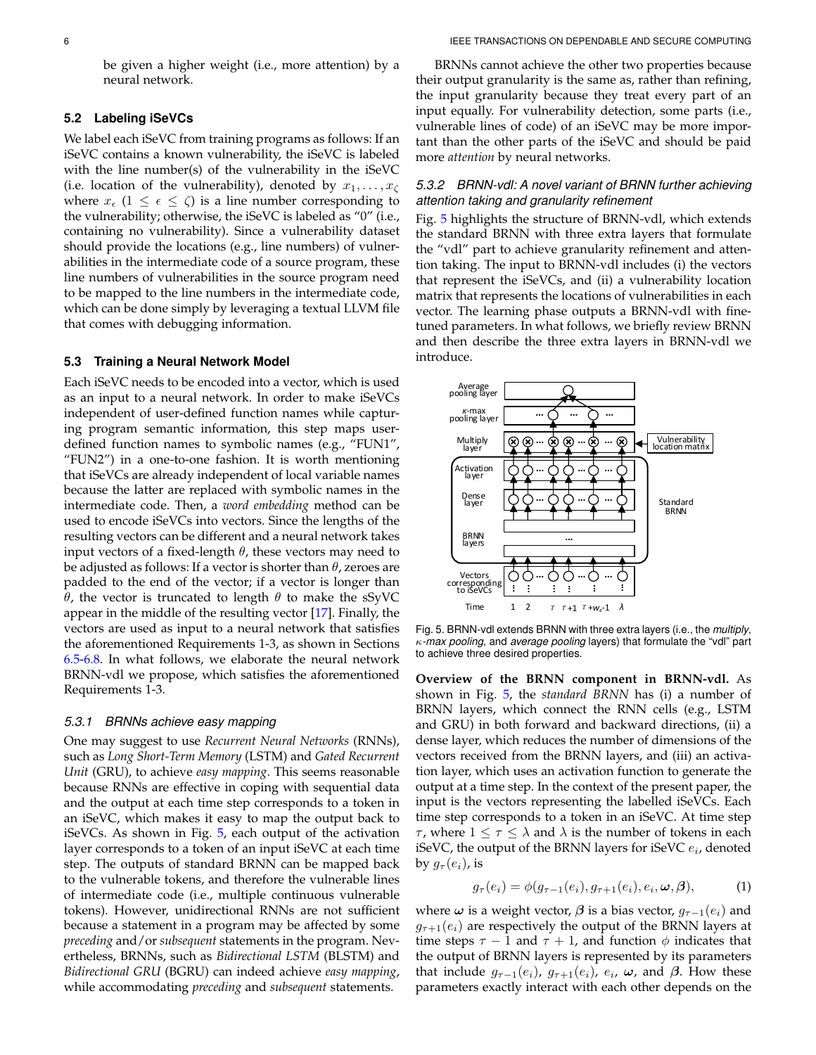be given a higher weight (i.e., more attention) by a neural network.

## **5.2 Labeling iSeVCs**

We label each iSeVC from training programs as follows: If an iSeVC contains a known vulnerability, the iSeVC is labeled with the line number(s) of the vulnerability in the iSeVC (i.e. location of the vulnerability), denoted by  $x_1, \ldots, x_\zeta$ where  $x_{\epsilon}$   $(1 \leq \epsilon \leq \zeta)$  is a line number corresponding to the vulnerability; otherwise, the iSeVC is labeled as "0" (i.e., containing no vulnerability). Since a vulnerability dataset should provide the locations (e.g., line numbers) of vulnerabilities in the intermediate code of a source program, these line numbers of vulnerabilities in the source program need to be mapped to the line numbers in the intermediate code, which can be done simply by leveraging a textual LLVM file that comes with debugging information.

## **5.3 Training a Neural Network Model**

Each iSeVC needs to be encoded into a vector, which is used as an input to a neural network. In order to make iSeVCs independent of user-defined function names while capturing program semantic information, this step maps userdefined function names to symbolic names (e.g., "FUN1", "FUN2") in a one-to-one fashion. It is worth mentioning that iSeVCs are already independent of local variable names because the latter are replaced with symbolic names in the intermediate code. Then, a *word embedding* method can be used to encode iSeVCs into vectors. Since the lengths of the resulting vectors can be different and a neural network takes input vectors of a fixed-length  $\theta$ , these vectors may need to be adjusted as follows: If a vector is shorter than  $\theta$ , zeroes are padded to the end of the vector; if a vector is longer than θ, the vector is truncated to length  $θ$  to make the sSyVC appear in the middle of the resulting vector [\[17\]](#page-15-5). Finally, the vectors are used as input to a neural network that satisfies the aforementioned Requirements 1-3, as shown in Sections [6.5-](#page-8-0)[6.8.](#page-12-1) In what follows, we elaborate the neural network BRNN-vdl we propose, which satisfies the aforementioned Requirements 1-3.

### *5.3.1 BRNNs achieve easy mapping*

One may suggest to use *Recurrent Neural Networks* (RNNs), such as *Long Short-Term Memory* (LSTM) and *Gated Recurrent Unit* (GRU), to achieve *easy mapping*. This seems reasonable because RNNs are effective in coping with sequential data and the output at each time step corresponds to a token in an iSeVC, which makes it easy to map the output back to iSeVCs. As shown in Fig. [5,](#page-5-0) each output of the activation layer corresponds to a token of an input iSeVC at each time step. The outputs of standard BRNN can be mapped back to the vulnerable tokens, and therefore the vulnerable lines of intermediate code (i.e., multiple continuous vulnerable tokens). However, unidirectional RNNs are not sufficient because a statement in a program may be affected by some *preceding* and/or *subsequent* statements in the program. Nevertheless, BRNNs, such as *Bidirectional LSTM* (BLSTM) and *Bidirectional GRU* (BGRU) can indeed achieve *easy mapping*, while accommodating *preceding* and *subsequent* statements.

BRNNs cannot achieve the other two properties because their output granularity is the same as, rather than refining, the input granularity because they treat every part of an input equally. For vulnerability detection, some parts (i.e., vulnerable lines of code) of an iSeVC may be more important than the other parts of the iSeVC and should be paid more *attention* by neural networks.

# *5.3.2 BRNN-vdl: A novel variant of BRNN further achieving attention taking and granularity refinement*

Fig. [5](#page-5-0) highlights the structure of BRNN-vdl, which extends the standard BRNN with three extra layers that formulate the "vdl" part to achieve granularity refinement and attention taking. The input to BRNN-vdl includes (i) the vectors that represent the iSeVCs, and (ii) a vulnerability location matrix that represents the locations of vulnerabilities in each vector. The learning phase outputs a BRNN-vdl with finetuned parameters. In what follows, we briefly review BRNN and then describe the three extra layers in BRNN-vdl we introduce.



<span id="page-5-0"></span>Fig. 5. BRNN-vdl extends BRNN with three extra layers (i.e., the *multiply*, κ*-max pooling*, and *average pooling* layers) that formulate the "vdl" part to achieve three desired properties.

**Overview of the BRNN component in BRNN-vdl.** As shown in Fig. [5,](#page-5-0) the *standard BRNN* has (i) a number of BRNN layers, which connect the RNN cells (e.g., LSTM and GRU) in both forward and backward directions, (ii) a dense layer, which reduces the number of dimensions of the vectors received from the BRNN layers, and (iii) an activation layer, which uses an activation function to generate the output at a time step. In the context of the present paper, the input is the vectors representing the labelled iSeVCs. Each time step corresponds to a token in an iSeVC. At time step *τ*, where  $1 ≤ τ ≤ λ$  and  $λ$  is the number of tokens in each iSeVC, the output of the BRNN layers for iSeVC  $e_i$ , denoted by  $g_{\tau}(e_i)$ , is

$$
g_{\tau}(e_i) = \phi(g_{\tau-1}(e_i), g_{\tau+1}(e_i), e_i, \omega, \beta), \tag{1}
$$

where  $\omega$  is a weight vector,  $\beta$  is a bias vector,  $g_{\tau-1}(e_i)$  and  $g_{\tau+1}(e_i)$  are respectively the output of the BRNN layers at time steps  $\tau - 1$  and  $\tau + 1$ , and function  $\phi$  indicates that the output of BRNN layers is represented by its parameters that include  $g_{\tau-1}(e_i)$ ,  $g_{\tau+1}(e_i)$ ,  $e_i$ ,  $\omega$ , and  $\beta$ . How these parameters exactly interact with each other depends on the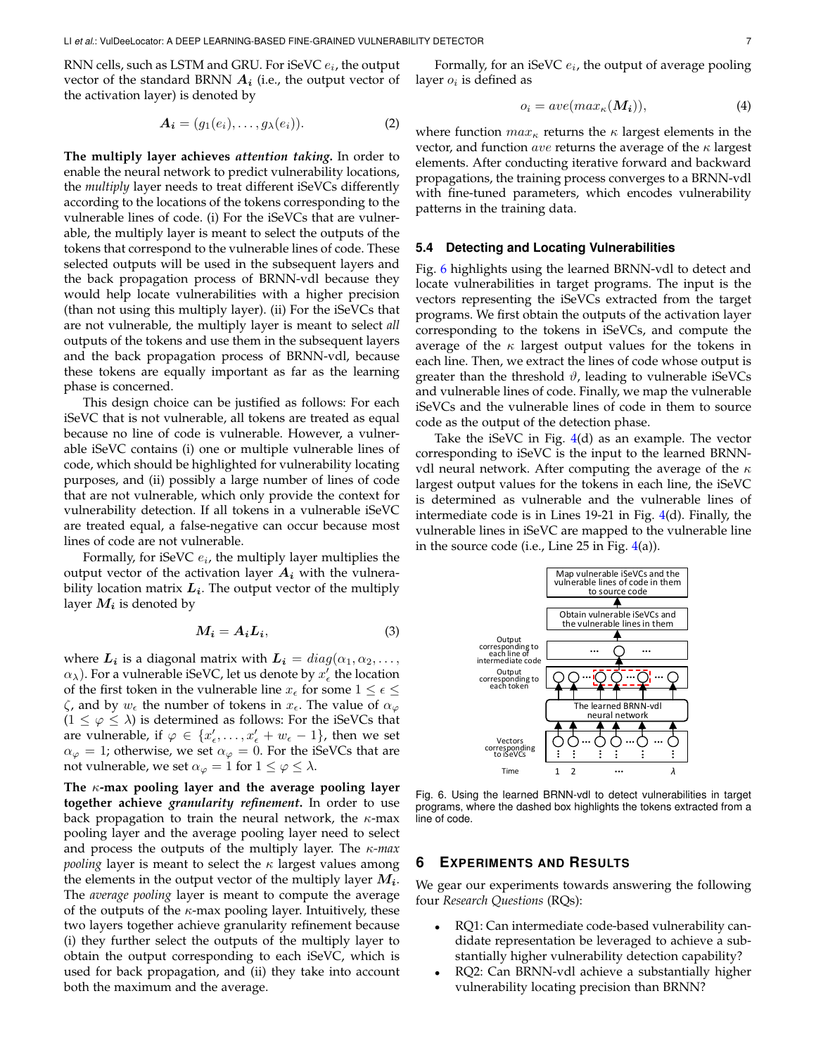RNN cells, such as LSTM and GRU. For iSeVC  $e_i$ , the output vector of the standard BRNN  $A_i$  (i.e., the output vector of the activation layer) is denoted by

$$
\mathbf{A_i} = (g_1(e_i), \dots, g_\lambda(e_i)). \tag{2}
$$

**The multiply layer achieves** *attention taking***.** In order to enable the neural network to predict vulnerability locations, the *multiply* layer needs to treat different iSeVCs differently according to the locations of the tokens corresponding to the vulnerable lines of code. (i) For the iSeVCs that are vulnerable, the multiply layer is meant to select the outputs of the tokens that correspond to the vulnerable lines of code. These selected outputs will be used in the subsequent layers and the back propagation process of BRNN-vdl because they would help locate vulnerabilities with a higher precision (than not using this multiply layer). (ii) For the iSeVCs that are not vulnerable, the multiply layer is meant to select *all* outputs of the tokens and use them in the subsequent layers and the back propagation process of BRNN-vdl, because these tokens are equally important as far as the learning phase is concerned.

This design choice can be justified as follows: For each iSeVC that is not vulnerable, all tokens are treated as equal because no line of code is vulnerable. However, a vulnerable iSeVC contains (i) one or multiple vulnerable lines of code, which should be highlighted for vulnerability locating purposes, and (ii) possibly a large number of lines of code that are not vulnerable, which only provide the context for vulnerability detection. If all tokens in a vulnerable iSeVC are treated equal, a false-negative can occur because most lines of code are not vulnerable.

Formally, for iSeVC  $e_i$ , the multiply layer multiplies the output vector of the activation layer  $A_i$  with the vulnerability location matrix  $L_i$ . The output vector of the multiply layer  $M_i$  is denoted by

$$
M_i = A_i L_i,\t\t(3)
$$

where  $\boldsymbol{L_i}$  is a diagonal matrix with  $\boldsymbol{L_i} = diag(\alpha_1, \alpha_2, \dots, \alpha_n)$  $\alpha_{\lambda}$ ). For a vulnerable iSeVC, let us denote by  $x'_{\epsilon}$  the location of the first token in the vulnerable line  $x_{\epsilon}$  for some  $1 \leq \epsilon \leq$  $\zeta$ , and by  $w_{\epsilon}$  the number of tokens in  $x_{\epsilon}$ . The value of  $\alpha_{\varphi}$  $(1 \leq \varphi \leq \lambda)$  is determined as follows: For the iSeVCs that are vulnerable, if  $\varphi \in \{x'_\epsilon,\ldots,x'_\epsilon+w_\epsilon-1\}$ , then we set  $\alpha_{\varphi} = 1$ ; otherwise, we set  $\alpha_{\varphi} = 0$ . For the iSeVCs that are not vulnerable, we set  $\alpha_{\varphi} = 1$  for  $1 \leq \varphi \leq \lambda$ .

**The** κ**-max pooling layer and the average pooling layer together achieve** *granularity refinement***.** In order to use back propagation to train the neural network, the  $\kappa$ -max pooling layer and the average pooling layer need to select and process the outputs of the multiply layer. The κ*-max pooling* layer is meant to select the  $\kappa$  largest values among the elements in the output vector of the multiply layer  $M_i$ . The *average pooling* layer is meant to compute the average of the outputs of the  $\kappa$ -max pooling layer. Intuitively, these two layers together achieve granularity refinement because (i) they further select the outputs of the multiply layer to obtain the output corresponding to each iSeVC, which is used for back propagation, and (ii) they take into account both the maximum and the average.

Formally, for an iSeVC  $e_i$ , the output of average pooling layer  $o_i$  is defined as

$$
o_i = ave(max_\kappa(M_i)),\tag{4}
$$

where function  $max_{\kappa}$  returns the  $\kappa$  largest elements in the vector, and function ave returns the average of the  $\kappa$  largest elements. After conducting iterative forward and backward propagations, the training process converges to a BRNN-vdl with fine-tuned parameters, which encodes vulnerability patterns in the training data.

# **5.4 Detecting and Locating Vulnerabilities**

Fig. [6](#page-6-1) highlights using the learned BRNN-vdl to detect and locate vulnerabilities in target programs. The input is the vectors representing the iSeVCs extracted from the target programs. We first obtain the outputs of the activation layer corresponding to the tokens in iSeVCs, and compute the average of the  $\kappa$  largest output values for the tokens in each line. Then, we extract the lines of code whose output is greater than the threshold  $\vartheta$ , leading to vulnerable iSeVCs and vulnerable lines of code. Finally, we map the vulnerable iSeVCs and the vulnerable lines of code in them to source code as the output of the detection phase.

Take the iSeVC in Fig.  $4(d)$  $4(d)$  as an example. The vector corresponding to iSeVC is the input to the learned BRNNvdl neural network. After computing the average of the  $\kappa$ largest output values for the tokens in each line, the iSeVC is determined as vulnerable and the vulnerable lines of intermediate code is in Lines 19-21 in Fig. [4\(](#page-4-1)d). Finally, the vulnerable lines in iSeVC are mapped to the vulnerable line in the source code (i.e., Line  $25$  in Fig.  $4(a)$  $4(a)$ ).



<span id="page-6-1"></span>Fig. 6. Using the learned BRNN-vdl to detect vulnerabilities in target programs, where the dashed box highlights the tokens extracted from a line of code.

#### <span id="page-6-0"></span>**6 EXPERIMENTS AND RESULTS**

We gear our experiments towards answering the following four *Research Questions* (RQs):

- RQ1: Can intermediate code-based vulnerability candidate representation be leveraged to achieve a substantially higher vulnerability detection capability?
- RQ2: Can BRNN-vdl achieve a substantially higher vulnerability locating precision than BRNN?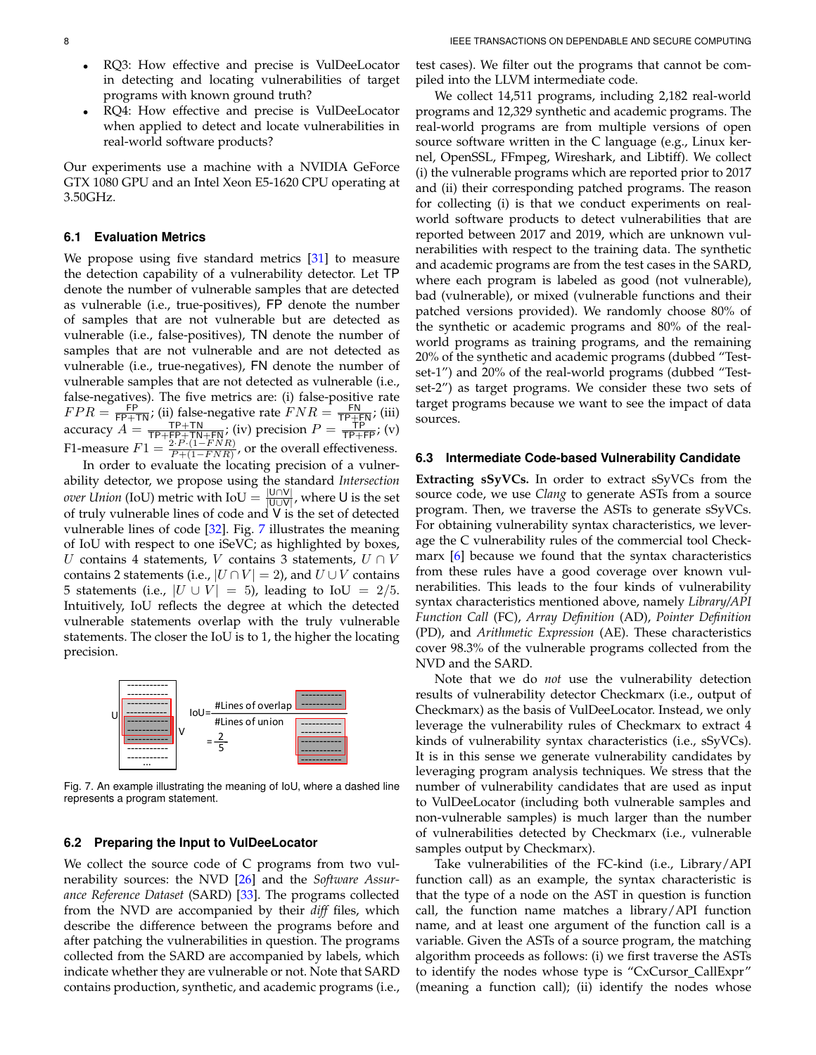- RQ3: How effective and precise is VulDeeLocator in detecting and locating vulnerabilities of target programs with known ground truth?
- RQ4: How effective and precise is VulDeeLocator when applied to detect and locate vulnerabilities in real-world software products?

Our experiments use a machine with a NVIDIA GeForce GTX 1080 GPU and an Intel Xeon E5-1620 CPU operating at 3.50GHz.

#### <span id="page-7-1"></span>**6.1 Evaluation Metrics**

We propose using five standard metrics [\[31\]](#page-15-13) to measure the detection capability of a vulnerability detector. Let TP denote the number of vulnerable samples that are detected as vulnerable (i.e., true-positives), FP denote the number of samples that are not vulnerable but are detected as vulnerable (i.e., false-positives), TN denote the number of samples that are not vulnerable and are not detected as vulnerable (i.e., true-negatives), FN denote the number of vulnerable samples that are not detected as vulnerable (i.e., false-negatives). The five metrics are: (i) false-positive rate  $FPR = \frac{FP}{FP+TN}$ ; (ii) false-negative rate  $FNR = \frac{FN}{TP+FN}$ ; (iii) accuracy  $A = \frac{TP + TN}{TP + FP + TN + FN}$ ; (iv) precision  $P = \frac{TP}{TP + FP}$ ; (v) F1-measure  $F1 = \frac{2 \cdot P \cdot (1 - FNR)}{P + (1 - FNR)}$ , or the overall effectiveness.

In order to evaluate the locating precision of a vulnerability detector, we propose using the standard *Intersection over Union* (IoU) metric with IoU =  $\frac{|U \cap V|}{|U \cap V|}$  $\frac{|U||V|}{|U\cup V|}$ , where U is the set of truly vulnerable lines of code and V is the set of detected vulnerable lines of code [\[32\]](#page-15-14). Fig. [7](#page-7-0) illustrates the meaning of IoU with respect to one iSeVC; as highlighted by boxes, U contains 4 statements, V contains 3 statements,  $U \cap V$ contains 2 statements (i.e.,  $|U \cap V| = 2$ ), and  $U \cup V$  contains 5 statements (i.e.,  $|U \cup V| = 5$ ), leading to IoU = 2/5. Intuitively, IoU reflects the degree at which the detected vulnerable statements overlap with the truly vulnerable statements. The closer the IoU is to 1, the higher the locating precision.



<span id="page-7-0"></span>Fig. 7. An example illustrating the meaning of IoU, where a dashed line represents a program statement.

#### **6.2 Preparing the Input to VulDeeLocator**

We collect the source code of C programs from two vulnerability sources: the NVD [\[26\]](#page-15-8) and the *Software Assurance Reference Dataset* (SARD) [\[33\]](#page-15-15). The programs collected from the NVD are accompanied by their *diff* files, which describe the difference between the programs before and after patching the vulnerabilities in question. The programs collected from the SARD are accompanied by labels, which indicate whether they are vulnerable or not. Note that SARD contains production, synthetic, and academic programs (i.e.,

test cases). We filter out the programs that cannot be compiled into the LLVM intermediate code.

We collect 14,511 programs, including 2,182 real-world programs and 12,329 synthetic and academic programs. The real-world programs are from multiple versions of open source software written in the C language (e.g., Linux kernel, OpenSSL, FFmpeg, Wireshark, and Libtiff). We collect (i) the vulnerable programs which are reported prior to 2017 and (ii) their corresponding patched programs. The reason for collecting (i) is that we conduct experiments on realworld software products to detect vulnerabilities that are reported between 2017 and 2019, which are unknown vulnerabilities with respect to the training data. The synthetic and academic programs are from the test cases in the SARD, where each program is labeled as good (not vulnerable), bad (vulnerable), or mixed (vulnerable functions and their patched versions provided). We randomly choose 80% of the synthetic or academic programs and 80% of the realworld programs as training programs, and the remaining 20% of the synthetic and academic programs (dubbed "Testset-1") and 20% of the real-world programs (dubbed "Testset-2") as target programs. We consider these two sets of target programs because we want to see the impact of data sources.

#### **6.3 Intermediate Code-based Vulnerability Candidate**

**Extracting sSyVCs.** In order to extract sSyVCs from the source code, we use *Clang* to generate ASTs from a source program. Then, we traverse the ASTs to generate sSyVCs. For obtaining vulnerability syntax characteristics, we leverage the C vulnerability rules of the commercial tool Checkmarx [\[6\]](#page-14-7) because we found that the syntax characteristics from these rules have a good coverage over known vulnerabilities. This leads to the four kinds of vulnerability syntax characteristics mentioned above, namely *Library/API Function Call* (FC), *Array Definition* (AD), *Pointer Definition* (PD), and *Arithmetic Expression* (AE). These characteristics cover 98.3% of the vulnerable programs collected from the NVD and the SARD.

Note that we do *not* use the vulnerability detection results of vulnerability detector Checkmarx (i.e., output of Checkmarx) as the basis of VulDeeLocator. Instead, we only leverage the vulnerability rules of Checkmarx to extract 4 kinds of vulnerability syntax characteristics (i.e., sSyVCs). It is in this sense we generate vulnerability candidates by leveraging program analysis techniques. We stress that the number of vulnerability candidates that are used as input to VulDeeLocator (including both vulnerable samples and non-vulnerable samples) is much larger than the number of vulnerabilities detected by Checkmarx (i.e., vulnerable samples output by Checkmarx).

Take vulnerabilities of the FC-kind (i.e., Library/API function call) as an example, the syntax characteristic is that the type of a node on the AST in question is function call, the function name matches a library/API function name, and at least one argument of the function call is a variable. Given the ASTs of a source program, the matching algorithm proceeds as follows: (i) we first traverse the ASTs to identify the nodes whose type is "CxCursor CallExpr" (meaning a function call); (ii) identify the nodes whose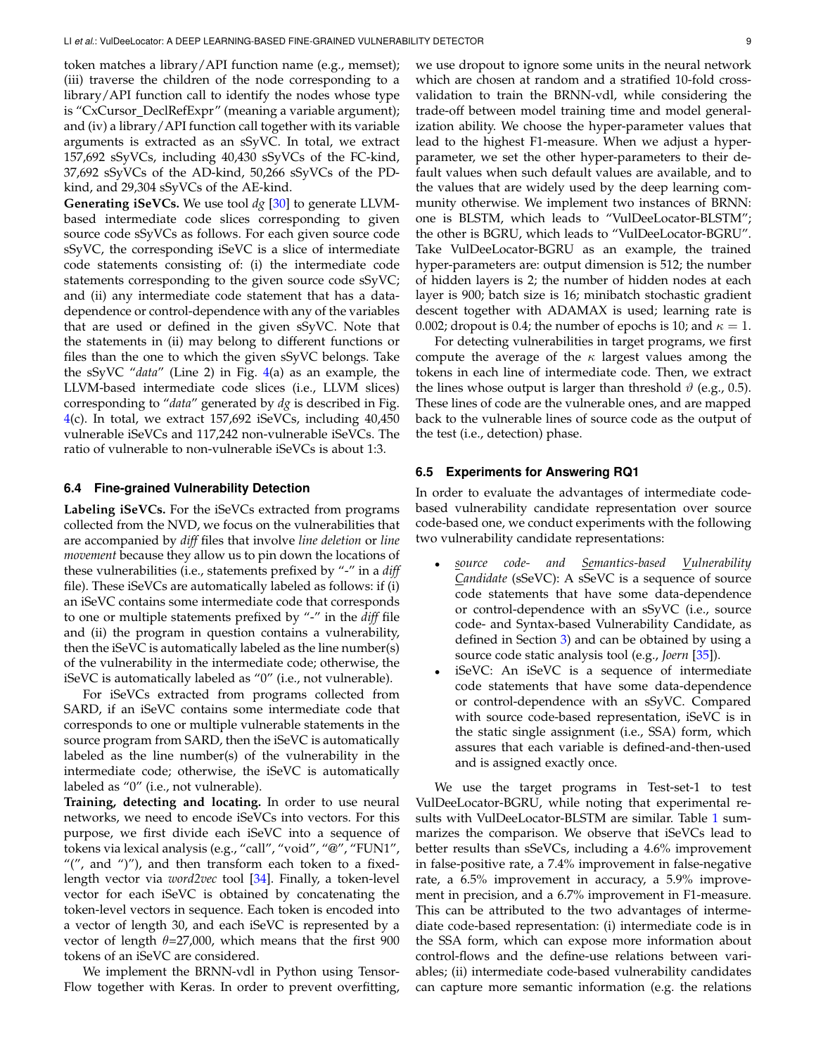token matches a library/API function name (e.g., memset); (iii) traverse the children of the node corresponding to a library/API function call to identify the nodes whose type is "CxCursor\_DeclRefExpr" (meaning a variable argument); and (iv) a library/API function call together with its variable arguments is extracted as an sSyVC. In total, we extract 157,692 sSyVCs, including 40,430 sSyVCs of the FC-kind, 37,692 sSyVCs of the AD-kind, 50,266 sSyVCs of the PDkind, and 29,304 sSyVCs of the AE-kind.

**Generating iSeVCs.** We use tool *dg* [\[30\]](#page-15-12) to generate LLVMbased intermediate code slices corresponding to given source code sSyVCs as follows. For each given source code sSyVC, the corresponding iSeVC is a slice of intermediate code statements consisting of: (i) the intermediate code statements corresponding to the given source code sSyVC; and (ii) any intermediate code statement that has a datadependence or control-dependence with any of the variables that are used or defined in the given sSyVC. Note that the statements in (ii) may belong to different functions or files than the one to which the given sSyVC belongs. Take the sSyVC "*data*" (Line 2) in Fig. [4\(](#page-4-1)a) as an example, the LLVM-based intermediate code slices (i.e., LLVM slices) corresponding to "*data*" generated by *dg* is described in Fig.  $4(c)$  $4(c)$ . In total, we extract 157,692 iSeVCs, including  $40,450$ vulnerable iSeVCs and 117,242 non-vulnerable iSeVCs. The ratio of vulnerable to non-vulnerable iSeVCs is about 1:3.

#### **6.4 Fine-grained Vulnerability Detection**

**Labeling iSeVCs.** For the iSeVCs extracted from programs collected from the NVD, we focus on the vulnerabilities that are accompanied by *diff* files that involve *line deletion* or *line movement* because they allow us to pin down the locations of these vulnerabilities (i.e., statements prefixed by "-" in a *diff* file). These iSeVCs are automatically labeled as follows: if (i) an iSeVC contains some intermediate code that corresponds to one or multiple statements prefixed by "-" in the *diff* file and (ii) the program in question contains a vulnerability, then the iSeVC is automatically labeled as the line number(s) of the vulnerability in the intermediate code; otherwise, the iSeVC is automatically labeled as "0" (i.e., not vulnerable).

For iSeVCs extracted from programs collected from SARD, if an iSeVC contains some intermediate code that corresponds to one or multiple vulnerable statements in the source program from SARD, then the iSeVC is automatically labeled as the line number(s) of the vulnerability in the intermediate code; otherwise, the iSeVC is automatically labeled as "0" (i.e., not vulnerable).

**Training, detecting and locating.** In order to use neural networks, we need to encode iSeVCs into vectors. For this purpose, we first divide each iSeVC into a sequence of tokens via lexical analysis (e.g., "call", "void", "@", "FUN1", " $''$ , and " $'$ "), and then transform each token to a fixedlength vector via *word2vec* tool [\[34\]](#page-15-16). Finally, a token-level vector for each iSeVC is obtained by concatenating the token-level vectors in sequence. Each token is encoded into a vector of length 30, and each iSeVC is represented by a vector of length  $\theta = 27,000$ , which means that the first 900 tokens of an iSeVC are considered.

We implement the BRNN-vdl in Python using Tensor-Flow together with Keras. In order to prevent overfitting, we use dropout to ignore some units in the neural network which are chosen at random and a stratified 10-fold crossvalidation to train the BRNN-vdl, while considering the trade-off between model training time and model generalization ability. We choose the hyper-parameter values that lead to the highest F1-measure. When we adjust a hyperparameter, we set the other hyper-parameters to their default values when such default values are available, and to the values that are widely used by the deep learning community otherwise. We implement two instances of BRNN: one is BLSTM, which leads to "VulDeeLocator-BLSTM"; the other is BGRU, which leads to "VulDeeLocator-BGRU". Take VulDeeLocator-BGRU as an example, the trained hyper-parameters are: output dimension is 512; the number of hidden layers is 2; the number of hidden nodes at each layer is 900; batch size is 16; minibatch stochastic gradient descent together with ADAMAX is used; learning rate is 0.002; dropout is 0.4; the number of epochs is 10; and  $\kappa = 1$ .

For detecting vulnerabilities in target programs, we first compute the average of the  $\kappa$  largest values among the tokens in each line of intermediate code. Then, we extract the lines whose output is larger than threshold  $\vartheta$  (e.g., 0.5). These lines of code are the vulnerable ones, and are mapped back to the vulnerable lines of source code as the output of the test (i.e., detection) phase.

## <span id="page-8-0"></span>**6.5 Experiments for Answering RQ1**

In order to evaluate the advantages of intermediate codebased vulnerability candidate representation over source code-based one, we conduct experiments with the following two vulnerability candidate representations:

- *source code- and Semantics-based Vulnerability Candidate* (sSeVC): A sSeVC is a sequence of source code statements that have some data-dependence or control-dependence with an sSyVC (i.e., source code- and Syntax-based Vulnerability Candidate, as defined in Section [3\)](#page-2-0) and can be obtained by using a source code static analysis tool (e.g., *Joern* [\[35\]](#page-15-17)).
- iSeVC: An iSeVC is a sequence of intermediate code statements that have some data-dependence or control-dependence with an sSyVC. Compared with source code-based representation, iSeVC is in the static single assignment (i.e., SSA) form, which assures that each variable is defined-and-then-used and is assigned exactly once.

We use the target programs in Test-set-1 to test VulDeeLocator-BGRU, while noting that experimental re-sults with VulDeeLocator-BLSTM are similar. Table [1](#page-9-0) summarizes the comparison. We observe that iSeVCs lead to better results than sSeVCs, including a 4.6% improvement in false-positive rate, a 7.4% improvement in false-negative rate, a 6.5% improvement in accuracy, a 5.9% improvement in precision, and a 6.7% improvement in F1-measure. This can be attributed to the two advantages of intermediate code-based representation: (i) intermediate code is in the SSA form, which can expose more information about control-flows and the define-use relations between variables; (ii) intermediate code-based vulnerability candidates can capture more semantic information (e.g. the relations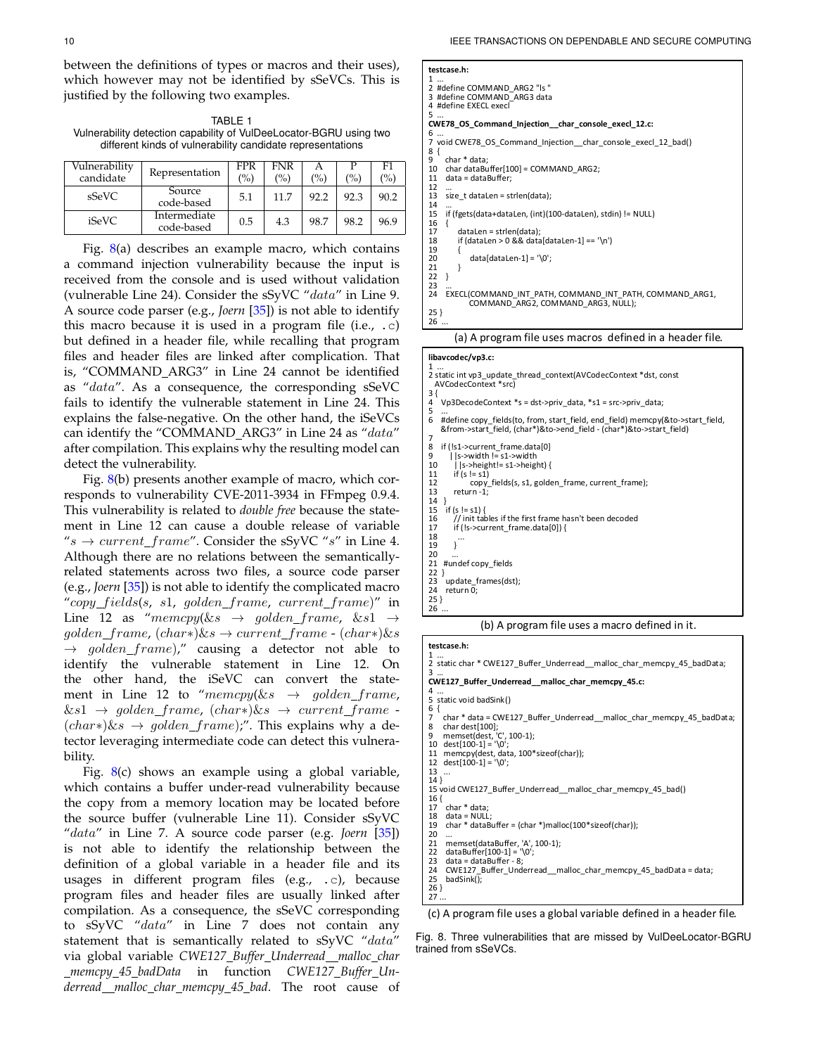between the definitions of types or macros and their uses), which however may not be identified by sSeVCs. This justified by the following two examples.

<span id="page-9-0"></span>TABLE 1 Vulnerability detection capability of VulDeeLocator-BGRU using tw different kinds of vulnerability candidate representations

| Vulnerabilitv<br>candidate | Representation             | FPR<br>(%) | <b>FNR</b><br>(%) | А<br>(%) | (%)  | F1<br>$\frac{1}{2}$ |
|----------------------------|----------------------------|------------|-------------------|----------|------|---------------------|
| sSeVC                      | Source<br>code-based       | 5.1        | 11.7              | 92.2     | 92.3 | 90.2                |
| iSeVC                      | Intermediate<br>code-based | 0.5        | 4.3               | 98.7     | 98.2 | 96.9                |

Fig.  $8(a)$  $8(a)$  describes an example macro, which contains a command injection vulnerability because the input received from the console and is used without validation (vulnerable Line 24). Consider the sSyVC "data" in Line 9. A source code parser (e.g., *Joern* [\[35\]](#page-15-17)) is not able to identify this macro because it is used in a program file (i.e., .c) but defined in a header file, while recalling that program files and header files are linked after complication. That is, "COMMAND ARG3" in Line 24 cannot be identified as "data". As a consequence, the corresponding sSeVC fails to identify the vulnerable statement in Line 24. This explains the false-negative. On the other hand, the iSeVCs can identify the "COMMAND\_ARG3" in Line 24 as "data" after compilation. This explains why the resulting model can detect the vulnerability.

Fig. [8\(](#page-9-1)b) presents another example of macro, which corresponds to vulnerability CVE-2011-3934 in FFmpeg 0.9.4. This vulnerability is related to *double free* because the statement in Line 12 can cause a double release of variable " $s \rightarrow current\_frame$ ". Consider the sSyVC "s" in Line 4. Although there are no relations between the semanticallyrelated statements across two files, a source code parser (e.g., *Joern* [\[35\]](#page-15-17)) is not able to identify the complicated macro "copy\_fields(s, s1, golden\_frame, current\_frame)" in Line 12 as "memcpy( $\&s \rightarrow \text{golden\_frame}, \&s1 \rightarrow$  $golden\_frame, (char*)\&s \rightarrow current\_frame \cdot (char*)\&s$  $\rightarrow$  golden frame)," causing a detector not able to identify the vulnerable statement in Line 12. On the other hand, the iSeVC can convert the statement in Line 12 to "memcpy( $\&s \rightarrow \text{golden\_frame}$ ,  $\&s1 \rightarrow golden\_frame, (char*)\&s \rightarrow current\_frame$ .  $(char*)\&s \rightarrow golden\_frame$ ;". This explains why a detector leveraging intermediate code can detect this vulnerability.

Fig. [8\(](#page-9-1)c) shows an example using a global variable, which contains a buffer under-read vulnerability because the copy from a memory location may be located before the source buffer (vulnerable Line 11). Consider sSyVC "data" in Line 7. A source code parser (e.g. *Joern* [\[35\]](#page-15-17)) is not able to identify the relationship between the definition of a global variable in a header file and its usages in different program files (e.g., .c), because program files and header files are usually linked after compilation. As a consequence, the sSeVC corresponding to sSyVC "data" in Line 7 does not contain any statement that is semantically related to sSyVC "data" via global variable *CWE127 Buffer Underread malloc char memcpy 45 badData* in function *CWE127 Buffer Underread malloc char memcpy 45 bad*. The root cause of

| ,,,,  | testcase.h:                                                                        |  |
|-------|------------------------------------------------------------------------------------|--|
| is is |                                                                                    |  |
|       | 2 #define COMMAND ARG2 "Is "                                                       |  |
|       | 3 #define COMMAND ARG3 data                                                        |  |
|       | 4 #define EXECL execl                                                              |  |
|       | 5                                                                                  |  |
|       | CWE78_OS_Command_Injection_char_console_execl_12.c:<br>6                           |  |
| wo    | 7 void CWE78 OS Command Injection char console execl 12 bad()                      |  |
|       | 8                                                                                  |  |
|       | char * data;<br>9                                                                  |  |
| F1    | char dataBuffer[100] = COMMAND ARG2;<br>10                                         |  |
| (%)   | data = dataBuffer;<br>11                                                           |  |
|       | 12                                                                                 |  |
| 90.2  | size t dataLen = strlen(data);<br>13                                               |  |
|       | 14                                                                                 |  |
| 96.9  | if (fgets(data+dataLen, (int)(100-dataLen), stdin) != NULL)<br>15                  |  |
|       | 16                                                                                 |  |
|       | 17<br>dataLen = strlen(data);<br>if (dataLen > 0 && data[dataLen-1] == '\n')<br>18 |  |
| ains  | 19                                                                                 |  |
|       | $data[dataLen-1] = \sqrt{0'}$ ;<br>20                                              |  |
| t is  | 21                                                                                 |  |
|       | 22                                                                                 |  |
| tion  | ר ר                                                                                |  |

23 … 24 EXECL(COMMAND\_INT\_PATH, COMMAND\_INT\_PATH, COMMAND\_ARG1, COMMAND\_ARG2, COMMAND\_ARG3, NULL);

25 } 26

(a) A program file uses macros defined in a header file.

#### **libavcodec/vp3.c:**

1 ... 2 static int vp3\_update\_thread\_context(AVCodecContext \*dst, const AVCodecContext \*src)  $\frac{3}{4}$ 4 Vp3DecodeContext \*s = dst->priv\_data, \*s1 = src->priv\_data; 5 ... 6 #define copy\_fields(to, from, start\_field, end\_field) memcpy(&to->start\_field, &from->start\_field, (char\*)&to->end\_field - (char\*)&to->start\_field)  $\overline{8}$ s<br>8 if (!s1->current\_frame.data[0]<br>9 ls->width l= s1->width  $9$  ||s->width != s1->width<br>10 ||s->height!= s1->heig 10  $\left| \right|$  | s->height!= s1->height) {<br>11 if  $(s = s1)$ 11 if  $(s != s1)$ <br>12 copy 12 copy\_fields(s, s1, golden\_frame, current\_frame);<br>13 return -1; return -1;  $\frac{14}{15}$ 15 if (s != s1) {<br>16 // init tab 16 // init tables if the first frame hasn't been decoded 17 if (!s->current\_frame.data[0]) {  $\begin{matrix} 18 \\ 19 \end{matrix}$  . 19 }  $\frac{20}{21}$ #undef copy\_fields  $\frac{22}{23}$ 23 update\_frames(dst);<br>24 return 0:  $return 0$ 25 }  $\overline{26}$ 

(b) A program file uses a macro defined in it.

# **testcase.h:**

1 ... 2 static char \* CWE127\_Buffer\_Underread\_\_malloc\_char\_memcpy\_45\_badData;

3 … **CWE127\_Buffer\_Underread\_\_malloc\_char\_memcpy\_45.c:** 

- 4 ... 5 static void badSink()
- 6 { 7 char \* data = CWE127\_Buffer\_Underread\_\_malloc\_char\_memcpy\_45\_badData;<br>8 char dest[100]
- 8 char dest[100]; 9 memset(dest, 'C', 100-1); 10 dest[100-1] = '\0';
- 
- 11 memcpy(dest, data, 100\*sizeof(char));<br>12 dest(100-11 = '\0':

```
dest[100-1] = '\0';13
```
- 14 } 15 void CWE127\_Buffer\_Underread\_\_malloc\_char\_memcpy\_45\_bad()
- $16<sup>1</sup>$
- 17 char \* data;<br>18 data = NULI 18 data = NULL;<br>19 char \* dataB
- $char * dataBuffer = (char *)mall (100 * sizeof(char));$
- 20<br>21
- 21 memset(dataBuffer, 'A', 100-1);<br>22 dataBuffer[100-1] = '\0':
- 22 dataBuffer $[100-1] = \sqrt{0}$ ;<br>23 data = dataBuffer 8;  $23$  data = dataBuffer - 8;<br>24 CWF127 Buffer Und
- 24 CWE127\_Buffer\_Underread\_malloc\_char\_memcpy\_45\_badData = data;<br>25 badSink();
- $badSink()$ ; 26 }

 $\frac{27}{27}$ 

<span id="page-9-1"></span>(c) A program file uses a global variable defined in a header file.

Fig. 8. Three vulnerabilities that are missed by VulDeeLocator-BGRU trained from sSeVCs.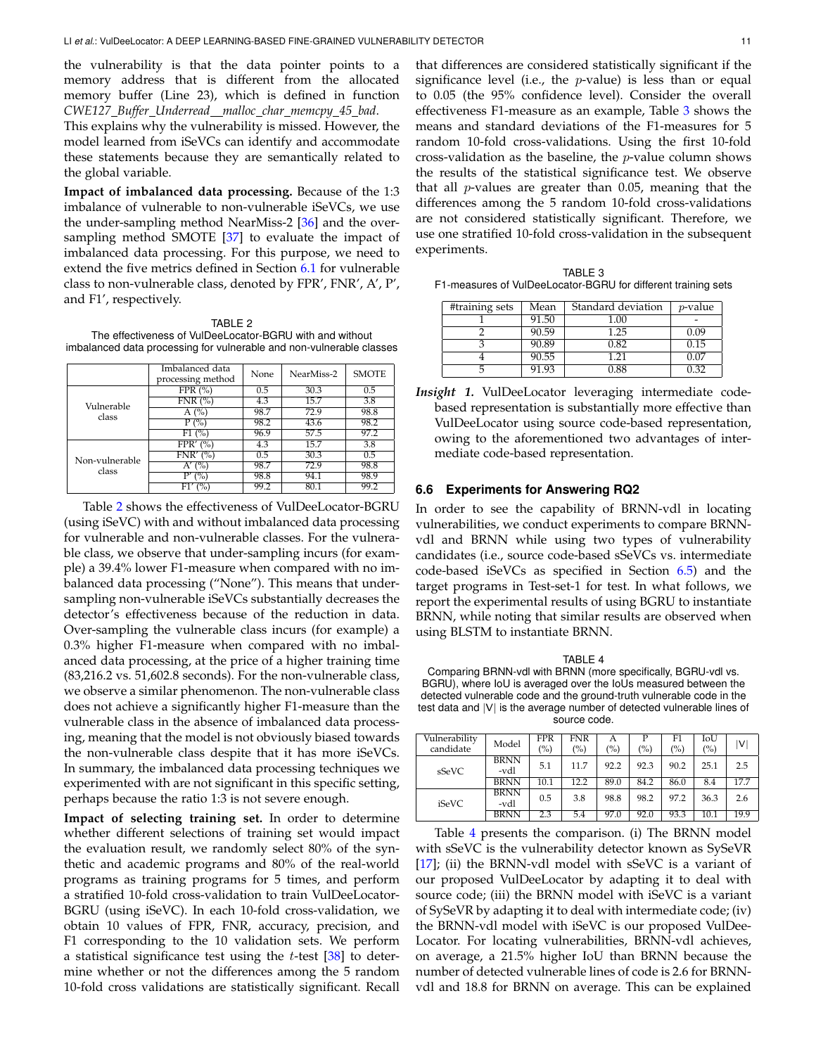the vulnerability is that the data pointer points to a memory address that is different from the allocated memory buffer (Line 23), which is defined in function *CWE127 Buffer Underread malloc char memcpy 45 bad*.

This explains why the vulnerability is missed. However, the model learned from iSeVCs can identify and accommodate these statements because they are semantically related to the global variable.

**Impact of imbalanced data processing.** Because of the 1:3 imbalance of vulnerable to non-vulnerable iSeVCs, we use the under-sampling method NearMiss-2 [\[36\]](#page-15-18) and the oversampling method SMOTE [\[37\]](#page-15-19) to evaluate the impact of imbalanced data processing. For this purpose, we need to extend the five metrics defined in Section [6.1](#page-7-1) for vulnerable class to non-vulnerable class, denoted by FPR', FNR', A', P', and F1', respectively.

TABLE 2

<span id="page-10-0"></span>The effectiveness of VulDeeLocator-BGRU with and without imbalanced data processing for vulnerable and non-vulnerable classes

|                | Imbalanced data<br>processing method | None | NearMiss-2 | <b>SMOTE</b> |
|----------------|--------------------------------------|------|------------|--------------|
|                | FPR $(\%)$                           | 0.5  | 30.3       | 0.5          |
| Vulnerable     | FNR(%)                               | 4.3  | 15.7       | 3.8          |
| class          | A $(%)$                              | 98.7 | 72.9       | 98.8         |
|                | P (%)                                | 98.2 | 43.6       | 98.2         |
|                | $F1($ %)                             | 96.9 | 57.5       | 97.2         |
|                | $FPR'$ (%)                           | 4.3  | 15.7       | 3.8          |
| Non-vulnerable | $FNR'$ (%)                           | 0.5  | 30.3       | 0.5          |
| class          | (%)<br>A′                            | 98.7 | 72.9       | 98.8         |
|                | D'<br>$\%)$                          | 98.8 | 94.1       | 98.9         |
|                | $\frac{1}{2}$<br>F1′                 | 99.2 | 80.1       | 99.2         |

Table [2](#page-10-0) shows the effectiveness of VulDeeLocator-BGRU (using iSeVC) with and without imbalanced data processing for vulnerable and non-vulnerable classes. For the vulnerable class, we observe that under-sampling incurs (for example) a 39.4% lower F1-measure when compared with no imbalanced data processing ("None"). This means that undersampling non-vulnerable iSeVCs substantially decreases the detector's effectiveness because of the reduction in data. Over-sampling the vulnerable class incurs (for example) a 0.3% higher F1-measure when compared with no imbalanced data processing, at the price of a higher training time (83,216.2 vs. 51,602.8 seconds). For the non-vulnerable class, we observe a similar phenomenon. The non-vulnerable class does not achieve a significantly higher F1-measure than the vulnerable class in the absence of imbalanced data processing, meaning that the model is not obviously biased towards the non-vulnerable class despite that it has more iSeVCs. In summary, the imbalanced data processing techniques we experimented with are not significant in this specific setting, perhaps because the ratio 1:3 is not severe enough.

**Impact of selecting training set.** In order to determine whether different selections of training set would impact the evaluation result, we randomly select 80% of the synthetic and academic programs and 80% of the real-world programs as training programs for 5 times, and perform a stratified 10-fold cross-validation to train VulDeeLocator-BGRU (using iSeVC). In each 10-fold cross-validation, we obtain 10 values of FPR, FNR, accuracy, precision, and F1 corresponding to the 10 validation sets. We perform a statistical significance test using the  $t$ -test  $[38]$  to determine whether or not the differences among the 5 random 10-fold cross validations are statistically significant. Recall

that differences are considered statistically significant if the significance level (i.e., the  $p$ -value) is less than or equal to 0.05 (the 95% confidence level). Consider the overall effectiveness F1-measure as an example, Table [3](#page-10-1) shows the means and standard deviations of the F1-measures for 5 random 10-fold cross-validations. Using the first 10-fold cross-validation as the baseline, the p-value column shows the results of the statistical significance test. We observe that all *-values are greater than 0.05, meaning that the* differences among the 5 random 10-fold cross-validations are not considered statistically significant. Therefore, we use one stratified 10-fold cross-validation in the subsequent experiments.

<span id="page-10-1"></span>

| TABLE 3                                                       |  |
|---------------------------------------------------------------|--|
| F1-measures of VulDeeLocator-BGRU for different training sets |  |

| #training sets | Mean    | Standard deviation | $p$ -value |
|----------------|---------|--------------------|------------|
|                | 91.50   | 1.00               |            |
|                | 90.59   | 1.25               | 0.09       |
|                | 90.89   | 0.82               | 0.15       |
|                | 90.55   | 1.21               | በ በ7       |
|                | $-1.93$ | 1.88               |            |

*Insight 1.* VulDeeLocator leveraging intermediate codebased representation is substantially more effective than VulDeeLocator using source code-based representation, owing to the aforementioned two advantages of intermediate code-based representation.

## **6.6 Experiments for Answering RQ2**

In order to see the capability of BRNN-vdl in locating vulnerabilities, we conduct experiments to compare BRNNvdl and BRNN while using two types of vulnerability candidates (i.e., source code-based sSeVCs vs. intermediate code-based iSeVCs as specified in Section [6.5\)](#page-8-0) and the target programs in Test-set-1 for test. In what follows, we report the experimental results of using BGRU to instantiate BRNN, while noting that similar results are observed when using BLSTM to instantiate BRNN.

<span id="page-10-2"></span>TABLE 4 Comparing BRNN-vdl with BRNN (more specifically, BGRU-vdl vs. BGRU), where IoU is averaged over the IoUs measured between the detected vulnerable code and the ground-truth vulnerable code in the test data and |V| is the average number of detected vulnerable lines of source code.

| Vulnerability |             | FPR  | <b>FNR</b> | А    |      | F1   | IoU  |                         |
|---------------|-------------|------|------------|------|------|------|------|-------------------------|
| candidate     | Model       | (%)  | (%)        | (%)  | (%)  | (%)  | (%)  | $\mathsf{ \mathsf{V} }$ |
| sSeVC         | <b>BRNN</b> | 5.1  | 11.7       | 92.2 | 92.3 | 90.2 | 25.1 |                         |
|               | -vdl        |      |            |      |      |      |      | 2.5                     |
|               | <b>BRNN</b> | 10.1 | 12.2       | 89.0 | 84.2 | 86.0 | 8.4  | 17.7                    |
|               | <b>BRNN</b> |      | 3.8        | 98.8 | 98.2 | 97.2 | 36.3 |                         |
| iSeVC         | -vdl        | 0.5  |            |      |      |      |      | 2.6                     |
|               | <b>BRNN</b> | 2.3  | 5.4        | 97.0 | 92.0 | 93.3 | 10.1 | 19.9                    |

Table [4](#page-10-2) presents the comparison. (i) The BRNN model with sSeVC is the vulnerability detector known as SySeVR [\[17\]](#page-15-5); (ii) the BRNN-vdl model with sSeVC is a variant of our proposed VulDeeLocator by adapting it to deal with source code; (iii) the BRNN model with iSeVC is a variant of SySeVR by adapting it to deal with intermediate code; (iv) the BRNN-vdl model with iSeVC is our proposed VulDee-Locator. For locating vulnerabilities, BRNN-vdl achieves, on average, a 21.5% higher IoU than BRNN because the number of detected vulnerable lines of code is 2.6 for BRNNvdl and 18.8 for BRNN on average. This can be explained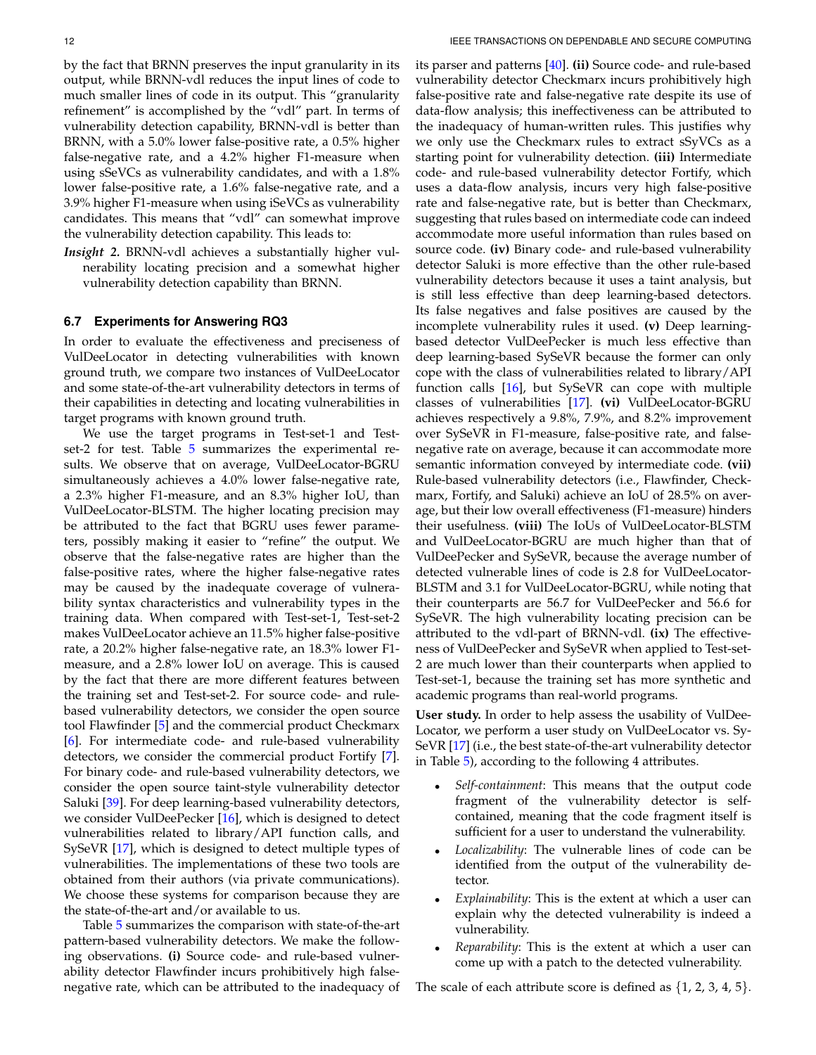by the fact that BRNN preserves the input granularity in its output, while BRNN-vdl reduces the input lines of code to much smaller lines of code in its output. This "granularity refinement" is accomplished by the "vdl" part. In terms of vulnerability detection capability, BRNN-vdl is better than BRNN, with a 5.0% lower false-positive rate, a 0.5% higher false-negative rate, and a 4.2% higher F1-measure when using sSeVCs as vulnerability candidates, and with a 1.8% lower false-positive rate, a 1.6% false-negative rate, and a 3.9% higher F1-measure when using iSeVCs as vulnerability candidates. This means that "vdl" can somewhat improve the vulnerability detection capability. This leads to:

*Insight 2.* BRNN-vdl achieves a substantially higher vulnerability locating precision and a somewhat higher vulnerability detection capability than BRNN.

## <span id="page-11-0"></span>**6.7 Experiments for Answering RQ3**

In order to evaluate the effectiveness and preciseness of VulDeeLocator in detecting vulnerabilities with known ground truth, we compare two instances of VulDeeLocator and some state-of-the-art vulnerability detectors in terms of their capabilities in detecting and locating vulnerabilities in target programs with known ground truth.

We use the target programs in Test-set-1 and Testset-2 for test. Table [5](#page-12-0) summarizes the experimental results. We observe that on average, VulDeeLocator-BGRU simultaneously achieves a 4.0% lower false-negative rate, a 2.3% higher F1-measure, and an 8.3% higher IoU, than VulDeeLocator-BLSTM. The higher locating precision may be attributed to the fact that BGRU uses fewer parameters, possibly making it easier to "refine" the output. We observe that the false-negative rates are higher than the false-positive rates, where the higher false-negative rates may be caused by the inadequate coverage of vulnerability syntax characteristics and vulnerability types in the training data. When compared with Test-set-1, Test-set-2 makes VulDeeLocator achieve an 11.5% higher false-positive rate, a 20.2% higher false-negative rate, an 18.3% lower F1 measure, and a 2.8% lower IoU on average. This is caused by the fact that there are more different features between the training set and Test-set-2. For source code- and rulebased vulnerability detectors, we consider the open source tool Flawfinder [\[5\]](#page-14-3) and the commercial product Checkmarx [\[6\]](#page-14-7). For intermediate code- and rule-based vulnerability detectors, we consider the commercial product Fortify [\[7\]](#page-14-8). For binary code- and rule-based vulnerability detectors, we consider the open source taint-style vulnerability detector Saluki [\[39\]](#page-15-21). For deep learning-based vulnerability detectors, we consider VulDeePecker [\[16\]](#page-15-1), which is designed to detect vulnerabilities related to library/API function calls, and SySeVR [\[17\]](#page-15-5), which is designed to detect multiple types of vulnerabilities. The implementations of these two tools are obtained from their authors (via private communications). We choose these systems for comparison because they are the state-of-the-art and/or available to us.

Table [5](#page-12-0) summarizes the comparison with state-of-the-art pattern-based vulnerability detectors. We make the following observations. **(i)** Source code- and rule-based vulnerability detector Flawfinder incurs prohibitively high falsenegative rate, which can be attributed to the inadequacy of its parser and patterns [\[40\]](#page-15-22). **(ii)** Source code- and rule-based vulnerability detector Checkmarx incurs prohibitively high false-positive rate and false-negative rate despite its use of data-flow analysis; this ineffectiveness can be attributed to the inadequacy of human-written rules. This justifies why we only use the Checkmarx rules to extract sSyVCs as a starting point for vulnerability detection. **(iii)** Intermediate code- and rule-based vulnerability detector Fortify, which uses a data-flow analysis, incurs very high false-positive rate and false-negative rate, but is better than Checkmarx, suggesting that rules based on intermediate code can indeed accommodate more useful information than rules based on source code. **(iv)** Binary code- and rule-based vulnerability detector Saluki is more effective than the other rule-based vulnerability detectors because it uses a taint analysis, but is still less effective than deep learning-based detectors. Its false negatives and false positives are caused by the incomplete vulnerability rules it used. **(v)** Deep learningbased detector VulDeePecker is much less effective than deep learning-based SySeVR because the former can only cope with the class of vulnerabilities related to library/API function calls [\[16\]](#page-15-1), but SySeVR can cope with multiple classes of vulnerabilities [\[17\]](#page-15-5). **(vi)** VulDeeLocator-BGRU achieves respectively a 9.8%, 7.9%, and 8.2% improvement over SySeVR in F1-measure, false-positive rate, and falsenegative rate on average, because it can accommodate more semantic information conveyed by intermediate code. **(vii)** Rule-based vulnerability detectors (i.e., Flawfinder, Checkmarx, Fortify, and Saluki) achieve an IoU of 28.5% on average, but their low overall effectiveness (F1-measure) hinders their usefulness. **(viii)** The IoUs of VulDeeLocator-BLSTM and VulDeeLocator-BGRU are much higher than that of VulDeePecker and SySeVR, because the average number of detected vulnerable lines of code is 2.8 for VulDeeLocator-BLSTM and 3.1 for VulDeeLocator-BGRU, while noting that their counterparts are 56.7 for VulDeePecker and 56.6 for SySeVR. The high vulnerability locating precision can be attributed to the vdl-part of BRNN-vdl. **(ix)** The effectiveness of VulDeePecker and SySeVR when applied to Test-set-2 are much lower than their counterparts when applied to Test-set-1, because the training set has more synthetic and academic programs than real-world programs.

**User study.** In order to help assess the usability of VulDee-Locator, we perform a user study on VulDeeLocator vs. Sy-SeVR [\[17\]](#page-15-5) (i.e., the best state-of-the-art vulnerability detector in Table [5\)](#page-12-0), according to the following 4 attributes.

- *Self-containment*: This means that the output code fragment of the vulnerability detector is selfcontained, meaning that the code fragment itself is sufficient for a user to understand the vulnerability.
- *Localizability*: The vulnerable lines of code can be identified from the output of the vulnerability detector.
- *Explainability*: This is the extent at which a user can explain why the detected vulnerability is indeed a vulnerability.
- *Reparability*: This is the extent at which a user can come up with a patch to the detected vulnerability.

The scale of each attribute score is defined as  $\{1, 2, 3, 4, 5\}$ .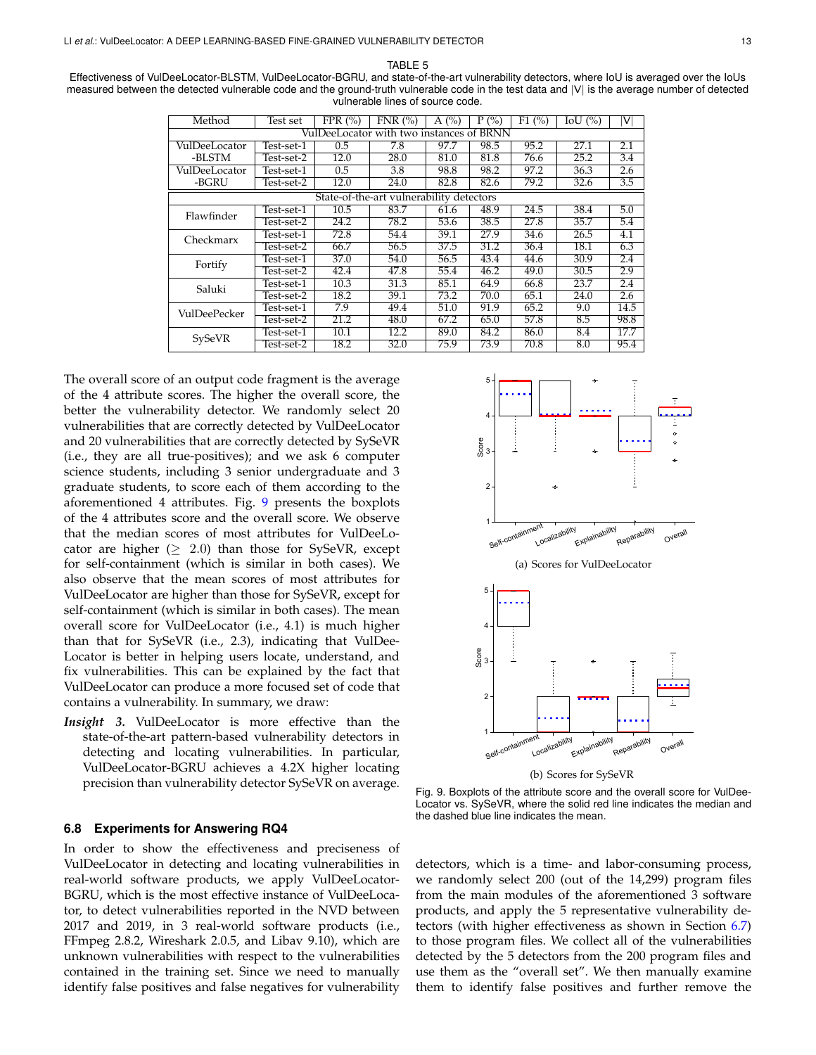TABLE 5

<span id="page-12-0"></span>

| Effectiveness of VulDeeLocator-BLSTM, VulDeeLocator-BGRU, and state-of-the-art vulnerability detectors, where IoU is averaged over the IoUs   |
|-----------------------------------------------------------------------------------------------------------------------------------------------|
| measured between the detected vulnerable code and the ground-truth vulnerable code in the test data and  V  is the average number of detected |
| vulnerable lines of source code.                                                                                                              |

| Method                                   | Test set   | FPR $(\% )$       | FNR(%)                                   | A $(%)$ | $P(\%)$ | F1(%) | $IoU$ $(\%)$ | V    |
|------------------------------------------|------------|-------------------|------------------------------------------|---------|---------|-------|--------------|------|
| VulDeeLocator with two instances of BRNN |            |                   |                                          |         |         |       |              |      |
| VulDeeLocator                            | Test-set-1 | 0.5               | 7.8                                      | 97.7    | 98.5    | 95.2  | 27.1         | 2.1  |
| -BLSTM                                   | Test-set-2 | 12.0              | 28.0                                     | 81.0    | 81.8    | 76.6  | 25.2         | 3.4  |
| VulDeeLocator                            | Test-set-1 | 0.5               | 3.8                                      | 98.8    | 98.2    | 97.2  | 36.3         | 2.6  |
| -BGRU                                    | Test-set-2 | 12.0              | 24.0                                     | 82.8    | 82.6    | 79.2  | 32.6         | 3.5  |
|                                          |            |                   | State-of-the-art vulnerability detectors |         |         |       |              |      |
| Flawfinder                               | Test-set-1 | $\overline{10.5}$ | 83.7                                     | 61.6    | 48.9    | 24.5  | 38.4         | 5.0  |
|                                          | Test-set-2 | 24.2              | 78.2                                     | 53.6    | 38.5    | 27.8  | 35.7         | 5.4  |
| Checkmarx                                | Test-set-1 | 72.8              | 54.4                                     | 39.1    | 27.9    | 34.6  | 26.5         | 4.1  |
|                                          | Test-set-2 | 66.7              | 56.5                                     | 37.5    | 31.2    | 36.4  | 18.1         | 6.3  |
| Fortify                                  | Test-set-1 | 37.0              | 54.0                                     | 56.5    | 43.4    | 44.6  | 30.9         | 2.4  |
|                                          | Test-set-2 | 42.4              | 47.8                                     | 55.4    | 46.2    | 49.0  | 30.5         | 2.9  |
| Saluki                                   | Test-set-1 | 10.3              | 31.3                                     | 85.1    | 64.9    | 66.8  | 23.7         | 2.4  |
|                                          | Test-set-2 | 18.2              | 39.1                                     | 73.2    | 70.0    | 65.1  | 24.0         | 2.6  |
| VulDeePecker                             | Test-set-1 | 7.9               | 49.4                                     | 51.0    | 91.9    | 65.2  | 9.0          | 14.5 |
|                                          | Test-set-2 | 21.2              | 48.0                                     | 67.2    | 65.0    | 57.8  | 8.5          | 98.8 |
|                                          | Test-set-1 | 10.1              | 12.2                                     | 89.0    | 84.2    | 86.0  | 8.4          | 17.7 |
| SySeVR                                   | Test-set-2 | 18.2              | 32.0                                     | 75.9    | 73.9    | 70.8  | 8.0          | 95.4 |

The overall score of an output code fragment is the average of the 4 attribute scores. The higher the overall score, the better the vulnerability detector. We randomly select 20 vulnerabilities that are correctly detected by VulDeeLocator and 20 vulnerabilities that are correctly detected by SySeVR (i.e., they are all true-positives); and we ask 6 computer science students, including 3 senior undergraduate and 3 graduate students, to score each of them according to the aforementioned 4 attributes. Fig. [9](#page-12-2) presents the boxplots of the 4 attributes score and the overall score. We observe that the median scores of most attributes for VulDeeLocator are higher  $(≥ 2.0)$  than those for SySeVR, except for self-containment (which is similar in both cases). We also observe that the mean scores of most attributes for VulDeeLocator are higher than those for SySeVR, except for self-containment (which is similar in both cases). The mean overall score for VulDeeLocator (i.e., 4.1) is much higher than that for SySeVR (i.e., 2.3), indicating that VulDee-Locator is better in helping users locate, understand, and fix vulnerabilities. This can be explained by the fact that VulDeeLocator can produce a more focused set of code that contains a vulnerability. In summary, we draw: information with the median society. The positives for vulnerability is the three than the positive standard in the signal society the standard and the median society of most attributes for vulnerability is signal in both

*Insight 3.* VulDeeLocator is more effective than the state-of-the-art pattern-based vulnerability detectors in detecting and locating vulnerabilities. In particular, VulDeeLocator-BGRU achieves a 4.2X higher locating precision than vulnerability detector SySeVR on average.

#### <span id="page-12-1"></span>**6.8 Experiments for Answering RQ4**

In order to show the effectiveness and preciseness of VulDeeLocator in detecting and locating vulnerabilities in real-world software products, we apply VulDeeLocator-BGRU, which is the most effective instance of VulDeeLocator, to detect vulnerabilities reported in the NVD between 2017 and 2019, in 3 real-world software products (i.e., FFmpeg 2.8.2, Wireshark 2.0.5, and Libav 9.10), which are unknown vulnerabilities with respect to the vulnerabilities contained in the training set. Since we need to manually



(b) Scores for SySeVR

<span id="page-12-2"></span>Fig. 9. Boxplots of the attribute score and the overall score for VulDee-Locator vs. SySeVR, where the solid red line indicates the median and the dashed blue line indicates the mean.

detectors, which is a time- and labor-consuming process, we randomly select 200 (out of the 14,299) program files from the main modules of the aforementioned 3 software products, and apply the 5 representative vulnerability detectors (with higher effectiveness as shown in Section [6.7\)](#page-11-0) to those program files. We collect all of the vulnerabilities detected by the 5 detectors from the 200 program files and use them as the "overall set". We then manually examine them to identify false positives and further remove the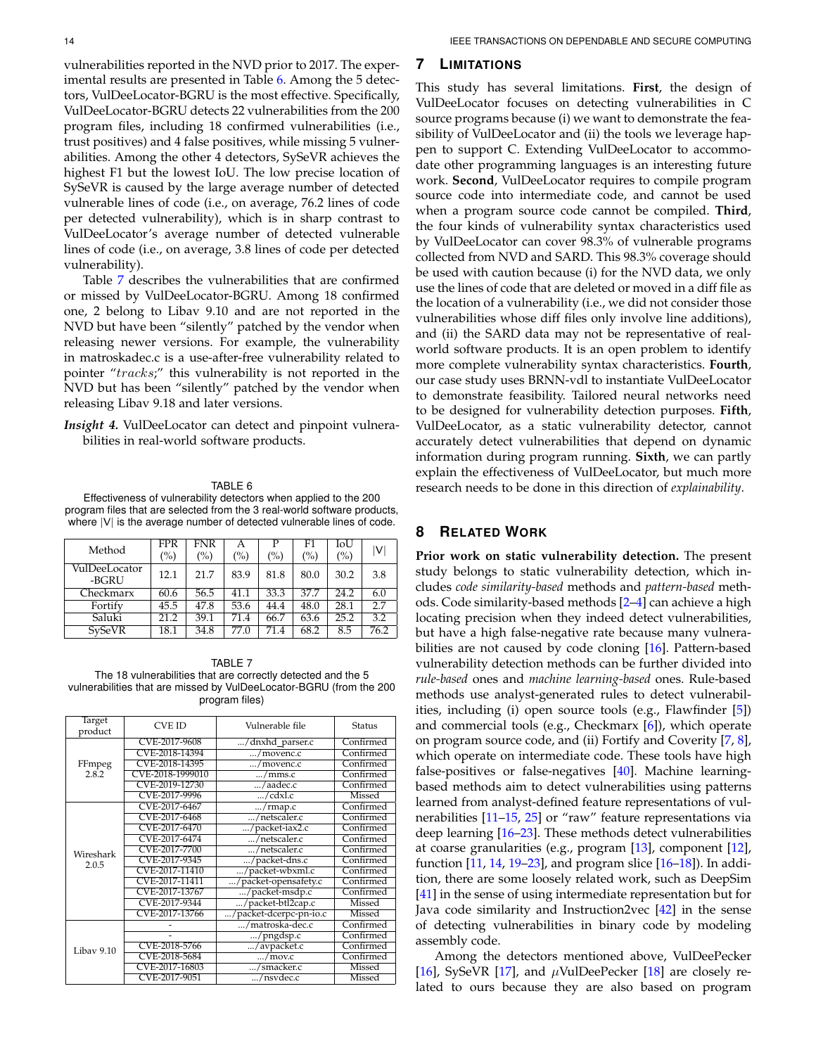vulnerabilities reported in the NVD prior to 2017. The experimental results are presented in Table [6.](#page-13-2) Among the 5 detectors, VulDeeLocator-BGRU is the most effective. Specifically, VulDeeLocator-BGRU detects 22 vulnerabilities from the 200 program files, including 18 confirmed vulnerabilities (i.e., trust positives) and 4 false positives, while missing 5 vulnerabilities. Among the other 4 detectors, SySeVR achieves the highest F1 but the lowest IoU. The low precise location of SySeVR is caused by the large average number of detected vulnerable lines of code (i.e., on average, 76.2 lines of code per detected vulnerability), which is in sharp contrast to VulDeeLocator's average number of detected vulnerable lines of code (i.e., on average, 3.8 lines of code per detected vulnerability).

Table [7](#page-13-3) describes the vulnerabilities that are confirmed or missed by VulDeeLocator-BGRU. Among 18 confirmed one, 2 belong to Libav 9.10 and are not reported in the NVD but have been "silently" patched by the vendor when releasing newer versions. For example, the vulnerability in matroskadec.c is a use-after-free vulnerability related to pointer "tracks;" this vulnerability is not reported in the NVD but has been "silently" patched by the vendor when releasing Libav 9.18 and later versions.

*Insight 4.* VulDeeLocator can detect and pinpoint vulnerabilities in real-world software products.

#### TABLE 6

<span id="page-13-2"></span>Effectiveness of vulnerability detectors when applied to the 200 program files that are selected from the 3 real-world software products, where  $|V|$  is the average number of detected vulnerable lines of code.

| Method                 | <b>FPR</b><br>$\left(\%\right)$ | <b>FNR</b><br>$\frac{(0)}{0}$ | Α<br>(%) | P<br>$\binom{0}{0}$ | F1<br>$\binom{0}{0}$ | IoU<br>(%) | V                |
|------------------------|---------------------------------|-------------------------------|----------|---------------------|----------------------|------------|------------------|
| VulDeeLocator<br>-BGRU | 12.1                            | 21.7                          | 83.9     | 81.8                | 80.0                 | 30.2       | 3.8              |
| Checkmarx              | 60.6                            | 56.5                          | 41.1     | 33.3                | 37.7                 | 24.2       | 6.0              |
| Fortify                | 45.5                            | 47.8                          | 53.6     | 44.4                | $\overline{48.0}$    | 28.1       | 2.7              |
| Saluki                 | 21.2                            | 39.1                          | 71.4     | 66.7                | 63.6                 | 25.2       | $\overline{3.2}$ |
| <b>SySeVR</b>          | 18.1                            | 34.8                          | 77.0     | 71.4                | 68.2                 | 8.5        | 76.2             |

<span id="page-13-3"></span>TABLE 7 The 18 vulnerabilities that are correctly detected and the 5 vulnerabilities that are missed by VulDeeLocator-BGRU (from the 200 program files)

| Target     | <b>CVE ID</b>    | Vulnerable file        | Status        |
|------------|------------------|------------------------|---------------|
| product    |                  |                        |               |
|            | CVE-2017-9608    | /dnxhd_parser.c        | Confirmed     |
|            | CVE-2018-14394   | /movenc.c              | Confirmed     |
| FFmpeg     | CVE-2018-14395   | /movenc.c              | Confirmed     |
| 2.8.2      | CVE-2018-1999010 | $\ldots$ /mms.c        | Confirmed     |
|            | CVE-2019-12730   | /aadec.c               | Confirmed     |
|            | CVE-2017-9996    | /cdxl.c                | <b>Missed</b> |
|            | CVE-2017-6467    | /rmap.c                | Confirmed     |
|            | CVE-2017-6468    | /netscaler.c           | Confirmed     |
|            | CVE-2017-6470    | /packet-iax2.c         | Confirmed     |
|            | CVE-2017-6474    | /netscaler.c           | Confirmed     |
| Wireshark  | CVE-2017-7700    | /netscaler.c           | Confirmed     |
| 2.0.5      | CVE-2017-9345    | /packet-dns.c          | Confirmed     |
|            | CVE-2017-11410   | /packet-wbxml.c        | Confirmed     |
|            | CVE-2017-11411   | /packet-opensafety.c   | Confirmed     |
|            | CVE-2017-13767   | /packet-msdp.c         | Confirmed     |
|            | CVE-2017-9344    | /packet-btl2cap.c      | Missed        |
|            | CVE-2017-13766   | /packet-dcerpc-pn-io.c | Missed        |
|            |                  | /matroska-dec.c        | Confirmed     |
|            |                  | $\ldots$ /pngdsp.c     | Confirmed     |
| Libay 9.10 | CVE-2018-5766    | /avpacket.c            | Confirmed     |
|            | CVE-2018-5684    | $\ldots$ /mov.c        | Confirmed     |
|            | CVE-2017-16803   | /smacker.c             | Missed        |
|            | CVE-2017-9051    | /nsydec.c              | Missed        |

# <span id="page-13-0"></span>**7 LIMITATIONS**

This study has several limitations. **First**, the design of VulDeeLocator focuses on detecting vulnerabilities in C source programs because (i) we want to demonstrate the feasibility of VulDeeLocator and (ii) the tools we leverage happen to support C. Extending VulDeeLocator to accommodate other programming languages is an interesting future work. **Second**, VulDeeLocator requires to compile program source code into intermediate code, and cannot be used when a program source code cannot be compiled. **Third**, the four kinds of vulnerability syntax characteristics used by VulDeeLocator can cover 98.3% of vulnerable programs collected from NVD and SARD. This 98.3% coverage should be used with caution because (i) for the NVD data, we only use the lines of code that are deleted or moved in a diff file as the location of a vulnerability (i.e., we did not consider those vulnerabilities whose diff files only involve line additions), and (ii) the SARD data may not be representative of realworld software products. It is an open problem to identify more complete vulnerability syntax characteristics. **Fourth**, our case study uses BRNN-vdl to instantiate VulDeeLocator to demonstrate feasibility. Tailored neural networks need to be designed for vulnerability detection purposes. **Fifth**, VulDeeLocator, as a static vulnerability detector, cannot accurately detect vulnerabilities that depend on dynamic information during program running. **Sixth**, we can partly explain the effectiveness of VulDeeLocator, but much more research needs to be done in this direction of *explainability*.

# <span id="page-13-1"></span>**8 RELATED WORK**

**Prior work on static vulnerability detection.** The present study belongs to static vulnerability detection, which includes *code similarity-based* methods and *pattern-based* methods. Code similarity-based methods [\[2](#page-14-1)[–4\]](#page-14-2) can achieve a high locating precision when they indeed detect vulnerabilities, but have a high false-negative rate because many vulnerabilities are not caused by code cloning [\[16\]](#page-15-1). Pattern-based vulnerability detection methods can be further divided into *rule-based* ones and *machine learning-based* ones. Rule-based methods use analyst-generated rules to detect vulnerabilities, including (i) open source tools (e.g., Flawfinder [\[5\]](#page-14-3)) and commercial tools (e.g., Checkmarx [\[6\]](#page-14-7)), which operate on program source code, and (ii) Fortify and Coverity [\[7,](#page-14-8) [8\]](#page-14-9), which operate on intermediate code. These tools have high false-positives or false-negatives [\[40\]](#page-15-22). Machine learningbased methods aim to detect vulnerabilities using patterns learned from analyst-defined feature representations of vulnerabilities [\[11](#page-14-5)[–15,](#page-15-0) [25\]](#page-15-7) or "raw" feature representations via deep learning [\[16–](#page-15-1)[23\]](#page-15-4). These methods detect vulnerabilities at coarse granularities (e.g., program [\[13\]](#page-14-10), component [\[12\]](#page-14-11), function [\[11,](#page-14-5) [14,](#page-15-23) [19](#page-15-3)[–23\]](#page-15-4), and program slice [\[16–](#page-15-1)[18\]](#page-15-2)). In addition, there are some loosely related work, such as DeepSim [\[41\]](#page-15-24) in the sense of using intermediate representation but for Java code similarity and Instruction2vec [\[42\]](#page-15-25) in the sense of detecting vulnerabilities in binary code by modeling assembly code.

Among the detectors mentioned above, VulDeePecker [\[16\]](#page-15-1), SySeVR [\[17\]](#page-15-5), and  $\mu$ VulDeePecker [\[18\]](#page-15-2) are closely related to ours because they are also based on program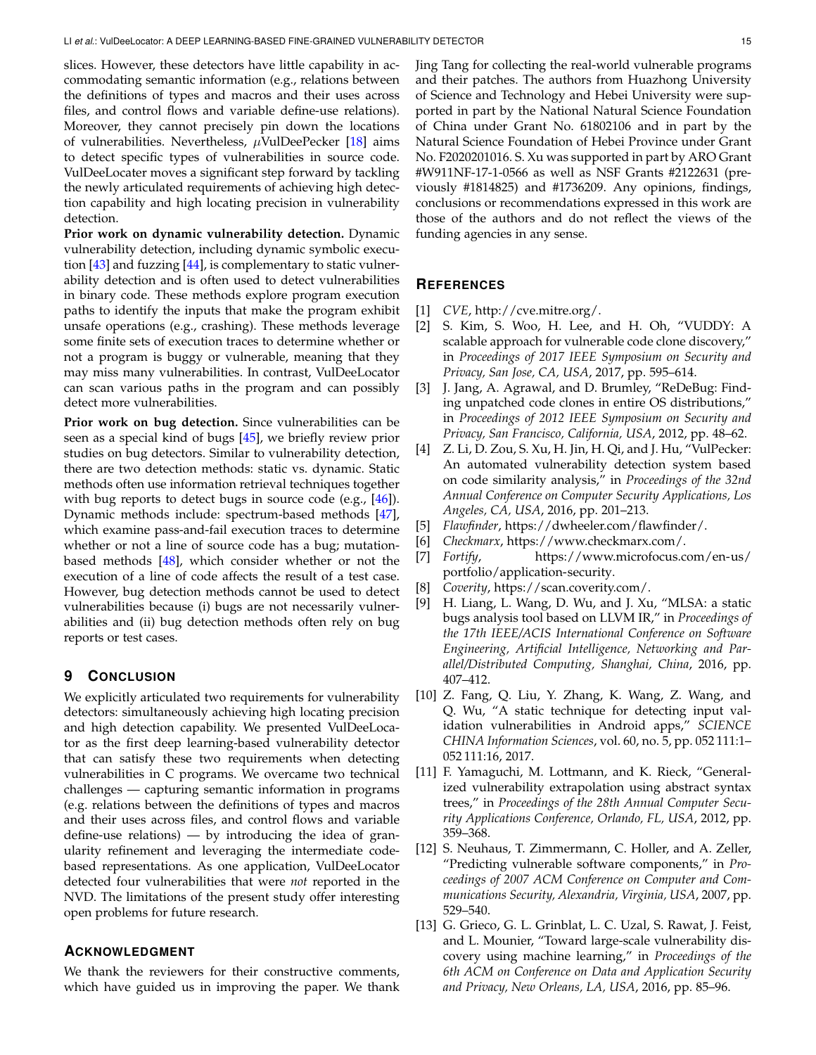slices. However, these detectors have little capability in accommodating semantic information (e.g., relations between the definitions of types and macros and their uses across files, and control flows and variable define-use relations). Moreover, they cannot precisely pin down the locations of vulnerabilities. Nevertheless,  $\mu$ VulDeePecker [\[18\]](#page-15-2) aims to detect specific types of vulnerabilities in source code. VulDeeLocater moves a significant step forward by tackling the newly articulated requirements of achieving high detection capability and high locating precision in vulnerability detection.

**Prior work on dynamic vulnerability detection.** Dynamic vulnerability detection, including dynamic symbolic execution  $[43]$  and fuzzing  $[44]$ , is complementary to static vulnerability detection and is often used to detect vulnerabilities in binary code. These methods explore program execution paths to identify the inputs that make the program exhibit unsafe operations (e.g., crashing). These methods leverage some finite sets of execution traces to determine whether or not a program is buggy or vulnerable, meaning that they may miss many vulnerabilities. In contrast, VulDeeLocator can scan various paths in the program and can possibly detect more vulnerabilities.

**Prior work on bug detection.** Since vulnerabilities can be seen as a special kind of bugs [\[45\]](#page-15-28), we briefly review prior studies on bug detectors. Similar to vulnerability detection, there are two detection methods: static vs. dynamic. Static methods often use information retrieval techniques together with bug reports to detect bugs in source code (e.g., [\[46\]](#page-15-29)). Dynamic methods include: spectrum-based methods [\[47\]](#page-16-0), which examine pass-and-fail execution traces to determine whether or not a line of source code has a bug; mutationbased methods [\[48\]](#page-16-1), which consider whether or not the execution of a line of code affects the result of a test case. However, bug detection methods cannot be used to detect vulnerabilities because (i) bugs are not necessarily vulnerabilities and (ii) bug detection methods often rely on bug reports or test cases.

## <span id="page-14-6"></span>**9 CONCLUSION**

We explicitly articulated two requirements for vulnerability detectors: simultaneously achieving high locating precision and high detection capability. We presented VulDeeLocator as the first deep learning-based vulnerability detector that can satisfy these two requirements when detecting vulnerabilities in C programs. We overcame two technical challenges — capturing semantic information in programs (e.g. relations between the definitions of types and macros and their uses across files, and control flows and variable define-use relations) — by introducing the idea of granularity refinement and leveraging the intermediate codebased representations. As one application, VulDeeLocator detected four vulnerabilities that were *not* reported in the NVD. The limitations of the present study offer interesting open problems for future research.

# **ACKNOWLEDGMENT**

We thank the reviewers for their constructive comments, which have guided us in improving the paper. We thank Jing Tang for collecting the real-world vulnerable programs and their patches. The authors from Huazhong University of Science and Technology and Hebei University were supported in part by the National Natural Science Foundation of China under Grant No. 61802106 and in part by the Natural Science Foundation of Hebei Province under Grant No. F2020201016. S. Xu was supported in part by ARO Grant #W911NF-17-1-0566 as well as NSF Grants #2122631 (previously #1814825) and #1736209. Any opinions, findings, conclusions or recommendations expressed in this work are those of the authors and do not reflect the views of the funding agencies in any sense.

# **REFERENCES**

- <span id="page-14-0"></span>[1] *CVE*, [http://cve.mitre.org/.](http://cve.mitre.org/)
- <span id="page-14-1"></span>[2] S. Kim, S. Woo, H. Lee, and H. Oh, "VUDDY: A scalable approach for vulnerable code clone discovery," in *Proceedings of 2017 IEEE Symposium on Security and Privacy, San Jose, CA, USA*, 2017, pp. 595–614.
- [3] J. Jang, A. Agrawal, and D. Brumley, "ReDeBug: Finding unpatched code clones in entire OS distributions," in *Proceedings of 2012 IEEE Symposium on Security and Privacy, San Francisco, California, USA*, 2012, pp. 48–62.
- <span id="page-14-2"></span>[4] Z. Li, D. Zou, S. Xu, H. Jin, H. Qi, and J. Hu, "VulPecker: An automated vulnerability detection system based on code similarity analysis," in *Proceedings of the 32nd Annual Conference on Computer Security Applications, Los Angeles, CA, USA*, 2016, pp. 201–213.
- <span id="page-14-3"></span>[5] *Flawfinder*, [https://dwheeler.com/flawfinder/.](https://dwheeler.com/flawfinder/)
- <span id="page-14-7"></span>[6] *Checkmarx*, [https://www.checkmarx.com/.](https://www.checkmarx.com/)
- <span id="page-14-8"></span>[7] *Fortify*, [https://www.microfocus.com/en-us/](https://www.microfocus.com/en-us/portfolio/application-security) [portfolio/application-security.](https://www.microfocus.com/en-us/portfolio/application-security)
- <span id="page-14-9"></span>[8] *Coverity*, [https://scan.coverity.com/.](https://scan.coverity.com/)
- [9] H. Liang, L. Wang, D. Wu, and J. Xu, "MLSA: a static bugs analysis tool based on LLVM IR," in *Proceedings of the 17th IEEE/ACIS International Conference on Software Engineering, Artificial Intelligence, Networking and Parallel/Distributed Computing, Shanghai, China*, 2016, pp. 407–412.
- <span id="page-14-4"></span>[10] Z. Fang, Q. Liu, Y. Zhang, K. Wang, Z. Wang, and Q. Wu, "A static technique for detecting input validation vulnerabilities in Android apps," *SCIENCE CHINA Information Sciences*, vol. 60, no. 5, pp. 052 111:1– 052 111:16, 2017.
- <span id="page-14-5"></span>[11] F. Yamaguchi, M. Lottmann, and K. Rieck, "Generalized vulnerability extrapolation using abstract syntax trees," in *Proceedings of the 28th Annual Computer Security Applications Conference, Orlando, FL, USA*, 2012, pp. 359–368.
- <span id="page-14-11"></span>[12] S. Neuhaus, T. Zimmermann, C. Holler, and A. Zeller, "Predicting vulnerable software components," in *Proceedings of 2007 ACM Conference on Computer and Communications Security, Alexandria, Virginia, USA*, 2007, pp. 529–540.
- <span id="page-14-10"></span>[13] G. Grieco, G. L. Grinblat, L. C. Uzal, S. Rawat, J. Feist, and L. Mounier, "Toward large-scale vulnerability discovery using machine learning," in *Proceedings of the 6th ACM on Conference on Data and Application Security and Privacy, New Orleans, LA, USA*, 2016, pp. 85–96.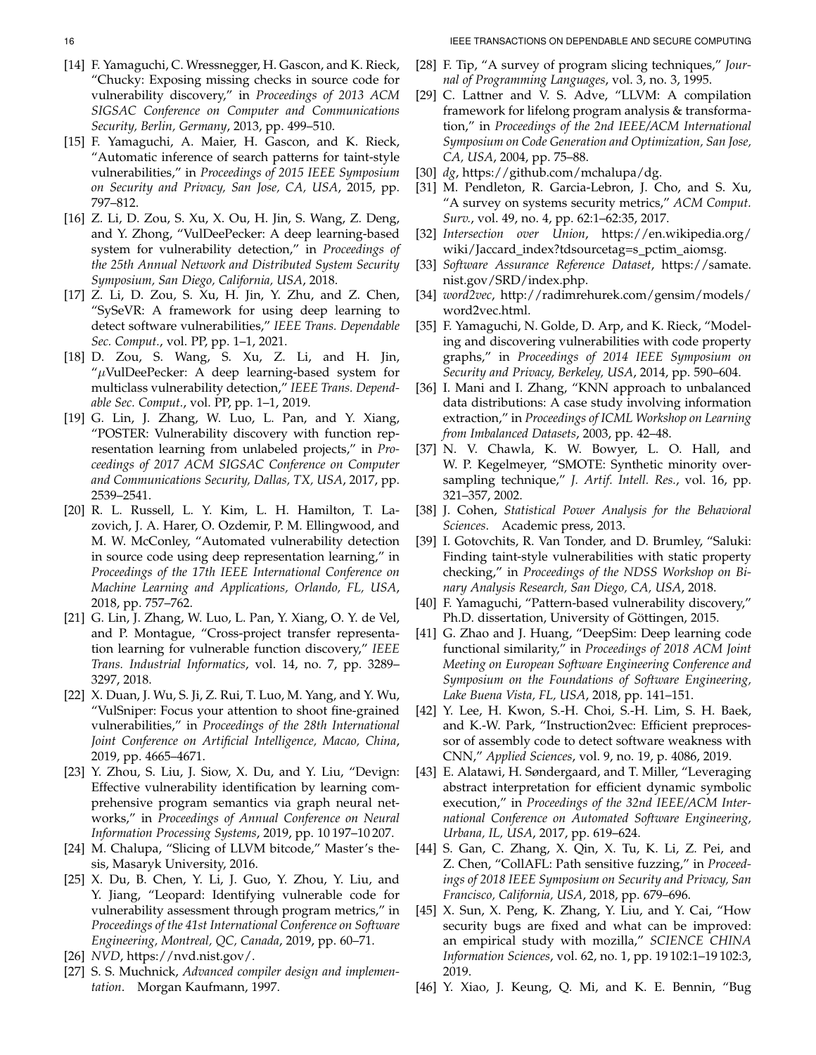- <span id="page-15-23"></span>[14] F. Yamaguchi, C. Wressnegger, H. Gascon, and K. Rieck, "Chucky: Exposing missing checks in source code for vulnerability discovery," in *Proceedings of 2013 ACM SIGSAC Conference on Computer and Communications Security, Berlin, Germany*, 2013, pp. 499–510.
- <span id="page-15-0"></span>[15] F. Yamaguchi, A. Maier, H. Gascon, and K. Rieck, "Automatic inference of search patterns for taint-style vulnerabilities," in *Proceedings of 2015 IEEE Symposium on Security and Privacy, San Jose, CA, USA*, 2015, pp. 797–812.
- <span id="page-15-1"></span>[16] Z. Li, D. Zou, S. Xu, X. Ou, H. Jin, S. Wang, Z. Deng, and Y. Zhong, "VulDeePecker: A deep learning-based system for vulnerability detection," in *Proceedings of the 25th Annual Network and Distributed System Security Symposium, San Diego, California, USA*, 2018.
- <span id="page-15-5"></span>[17] Z. Li, D. Zou, S. Xu, H. Jin, Y. Zhu, and Z. Chen, "SySeVR: A framework for using deep learning to detect software vulnerabilities," *IEEE Trans. Dependable Sec. Comput.*, vol. PP, pp. 1–1, 2021.
- <span id="page-15-2"></span>[18] D. Zou, S. Wang, S. Xu, Z. Li, and H. Jin, " $\mu$ VulDeePecker: A deep learning-based system for multiclass vulnerability detection," *IEEE Trans. Dependable Sec. Comput.*, vol. PP, pp. 1–1, 2019.
- <span id="page-15-3"></span>[19] G. Lin, J. Zhang, W. Luo, L. Pan, and Y. Xiang, "POSTER: Vulnerability discovery with function representation learning from unlabeled projects," in *Proceedings of 2017 ACM SIGSAC Conference on Computer and Communications Security, Dallas, TX, USA*, 2017, pp. 2539–2541.
- [20] R. L. Russell, L. Y. Kim, L. H. Hamilton, T. Lazovich, J. A. Harer, O. Ozdemir, P. M. Ellingwood, and M. W. McConley, "Automated vulnerability detection in source code using deep representation learning," in *Proceedings of the 17th IEEE International Conference on Machine Learning and Applications, Orlando, FL, USA*, 2018, pp. 757–762.
- [21] G. Lin, J. Zhang, W. Luo, L. Pan, Y. Xiang, O. Y. de Vel, and P. Montague, "Cross-project transfer representation learning for vulnerable function discovery," *IEEE Trans. Industrial Informatics*, vol. 14, no. 7, pp. 3289– 3297, 2018.
- [22] X. Duan, J. Wu, S. Ji, Z. Rui, T. Luo, M. Yang, and Y. Wu, "VulSniper: Focus your attention to shoot fine-grained vulnerabilities," in *Proceedings of the 28th International Joint Conference on Artificial Intelligence, Macao, China*, 2019, pp. 4665–4671.
- <span id="page-15-4"></span>[23] Y. Zhou, S. Liu, J. Siow, X. Du, and Y. Liu, "Devign: Effective vulnerability identification by learning comprehensive program semantics via graph neural networks," in *Proceedings of Annual Conference on Neural Information Processing Systems*, 2019, pp. 10 197–10 207.
- <span id="page-15-6"></span>[24] M. Chalupa, "Slicing of LLVM bitcode," Master's thesis, Masaryk University, 2016.
- <span id="page-15-7"></span>[25] X. Du, B. Chen, Y. Li, J. Guo, Y. Zhou, Y. Liu, and Y. Jiang, "Leopard: Identifying vulnerable code for vulnerability assessment through program metrics," in *Proceedings of the 41st International Conference on Software Engineering, Montreal, QC, Canada*, 2019, pp. 60–71.
- <span id="page-15-8"></span>[26] *NVD*, [https://nvd.nist.gov/.](https://nvd.nist.gov/)
- <span id="page-15-9"></span>[27] S. S. Muchnick, *Advanced compiler design and implementation*. Morgan Kaufmann, 1997.
- <span id="page-15-10"></span>[28] F. Tip, "A survey of program slicing techniques," *Journal of Programming Languages*, vol. 3, no. 3, 1995.
- <span id="page-15-11"></span>[29] C. Lattner and V. S. Adve, "LLVM: A compilation framework for lifelong program analysis & transformation," in *Proceedings of the 2nd IEEE/ACM International Symposium on Code Generation and Optimization, San Jose, CA, USA*, 2004, pp. 75–88.
- <span id="page-15-12"></span>[30] *dg*, [https://github.com/mchalupa/dg.](https://github.com/mchalupa/dg)
- <span id="page-15-13"></span>[31] M. Pendleton, R. Garcia-Lebron, J. Cho, and S. Xu, "A survey on systems security metrics," *ACM Comput. Surv.*, vol. 49, no. 4, pp. 62:1–62:35, 2017.
- <span id="page-15-14"></span>[32] *Intersection over Union*, [https://en.wikipedia.org/](https://en.wikipedia.org/wiki/Jaccard_index?tdsourcetag=s_pctim_aiomsg) wiki/Jaccard\_[index?tdsourcetag=s](https://en.wikipedia.org/wiki/Jaccard_index?tdsourcetag=s_pctim_aiomsg)\_pctim\_aiomsg.
- <span id="page-15-15"></span>[33] *Software Assurance Reference Dataset*, [https://samate.](https://samate.nist.gov/SRD/index.php) [nist.gov/SRD/index.php.](https://samate.nist.gov/SRD/index.php)
- <span id="page-15-16"></span>[34] *word2vec*, [http://radimrehurek.com/gensim/models/](http://radimrehurek.com/gensim/models/word2vec.html) [word2vec.html.](http://radimrehurek.com/gensim/models/word2vec.html)
- <span id="page-15-17"></span>[35] F. Yamaguchi, N. Golde, D. Arp, and K. Rieck, "Modeling and discovering vulnerabilities with code property graphs," in *Proceedings of 2014 IEEE Symposium on Security and Privacy, Berkeley, USA*, 2014, pp. 590–604.
- <span id="page-15-18"></span>[36] I. Mani and I. Zhang, "KNN approach to unbalanced data distributions: A case study involving information extraction," in *Proceedings of ICML Workshop on Learning from Imbalanced Datasets*, 2003, pp. 42–48.
- <span id="page-15-19"></span>[37] N. V. Chawla, K. W. Bowyer, L. O. Hall, and W. P. Kegelmeyer, "SMOTE: Synthetic minority oversampling technique," *J. Artif. Intell. Res.*, vol. 16, pp. 321–357, 2002.
- <span id="page-15-20"></span>[38] J. Cohen, *Statistical Power Analysis for the Behavioral Sciences*. Academic press, 2013.
- <span id="page-15-21"></span>[39] I. Gotovchits, R. Van Tonder, and D. Brumley, "Saluki: Finding taint-style vulnerabilities with static property checking," in *Proceedings of the NDSS Workshop on Binary Analysis Research, San Diego, CA, USA*, 2018.
- <span id="page-15-22"></span>[40] F. Yamaguchi, "Pattern-based vulnerability discovery," Ph.D. dissertation, University of Göttingen, 2015.
- <span id="page-15-24"></span>[41] G. Zhao and J. Huang, "DeepSim: Deep learning code functional similarity," in *Proceedings of 2018 ACM Joint Meeting on European Software Engineering Conference and Symposium on the Foundations of Software Engineering, Lake Buena Vista, FL, USA*, 2018, pp. 141–151.
- <span id="page-15-25"></span>[42] Y. Lee, H. Kwon, S.-H. Choi, S.-H. Lim, S. H. Baek, and K.-W. Park, "Instruction2vec: Efficient preprocessor of assembly code to detect software weakness with CNN," *Applied Sciences*, vol. 9, no. 19, p. 4086, 2019.
- <span id="page-15-26"></span>[43] E. Alatawi, H. Søndergaard, and T. Miller, "Leveraging abstract interpretation for efficient dynamic symbolic execution," in *Proceedings of the 32nd IEEE/ACM International Conference on Automated Software Engineering, Urbana, IL, USA*, 2017, pp. 619–624.
- <span id="page-15-27"></span>[44] S. Gan, C. Zhang, X. Qin, X. Tu, K. Li, Z. Pei, and Z. Chen, "CollAFL: Path sensitive fuzzing," in *Proceedings of 2018 IEEE Symposium on Security and Privacy, San Francisco, California, USA*, 2018, pp. 679–696.
- <span id="page-15-28"></span>[45] X. Sun, X. Peng, K. Zhang, Y. Liu, and Y. Cai, "How security bugs are fixed and what can be improved: an empirical study with mozilla," *SCIENCE CHINA Information Sciences*, vol. 62, no. 1, pp. 19 102:1–19 102:3, 2019.
- <span id="page-15-29"></span>[46] Y. Xiao, J. Keung, Q. Mi, and K. E. Bennin, "Bug